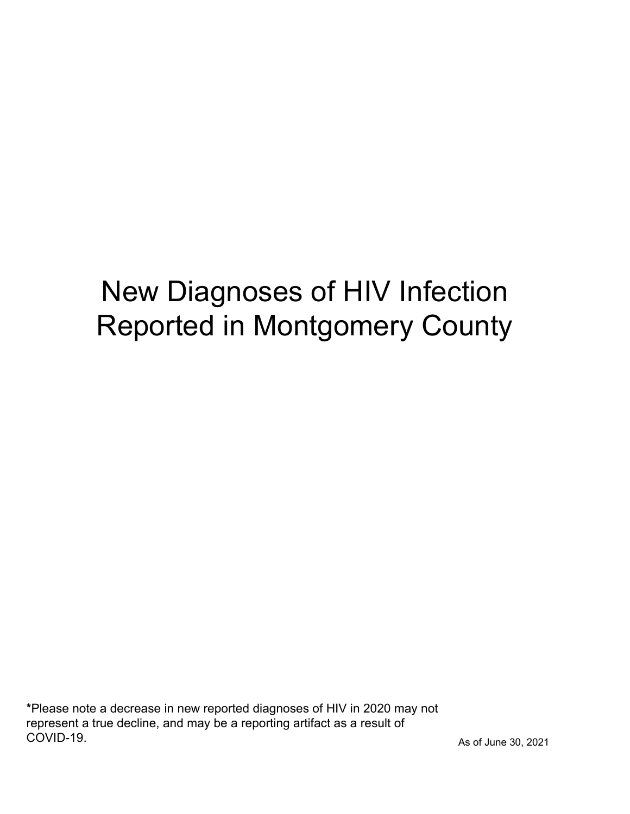# New Diagnoses of HIV Infection Reported in Montgomery County

\*Please note a decrease in new reported diagnoses of HIV in 2020 may not represent a true decline, and may be a reporting artifact as a result of COVID-19.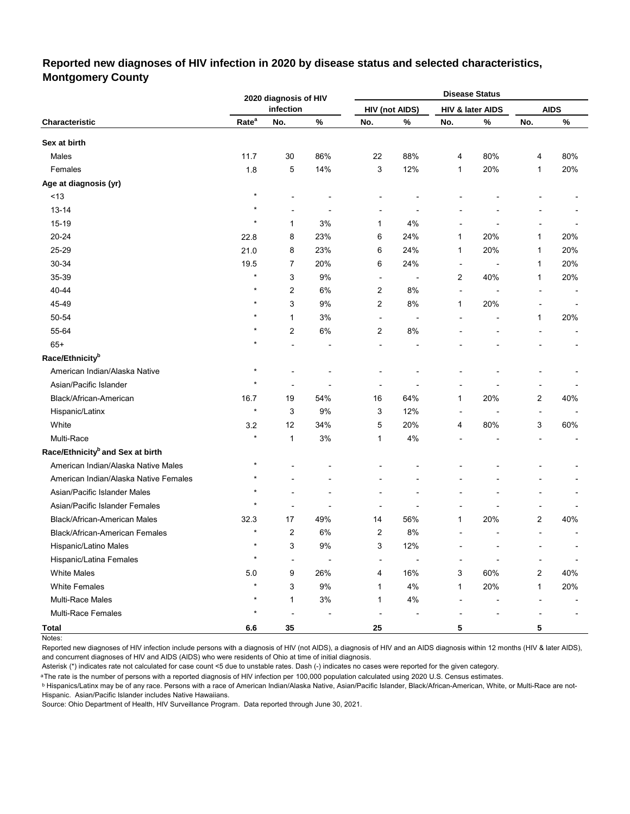#### **Reported new diagnoses of HIV infection in 2020 by disease status and selected characteristics, Montgomery County**

|                                              |                   | 2020 diagnosis of HIV |       |                          |                          |                          | <b>Disease Status</b> |                |             |  |
|----------------------------------------------|-------------------|-----------------------|-------|--------------------------|--------------------------|--------------------------|-----------------------|----------------|-------------|--|
|                                              |                   | infection             |       |                          | <b>HIV (not AIDS)</b>    |                          | HIV & later AIDS      |                | <b>AIDS</b> |  |
| Characteristic                               | Rate <sup>a</sup> | No.                   | $\%$  | No.                      | $\%$                     | No.                      | $\%$                  | No.            | $\%$        |  |
| Sex at birth                                 |                   |                       |       |                          |                          |                          |                       |                |             |  |
| Males                                        | 11.7              | 30                    | 86%   | 22                       | 88%                      | 4                        | 80%                   | 4              | 80%         |  |
| Females                                      | 1.8               | $\,$ 5 $\,$           | 14%   | 3                        | 12%                      | 1                        | 20%                   | 1              | 20%         |  |
| Age at diagnosis (yr)                        |                   |                       |       |                          |                          |                          |                       |                |             |  |
| ~13                                          | $\star$           |                       |       |                          |                          |                          |                       |                |             |  |
| $13 - 14$                                    | $\star$           |                       |       |                          |                          |                          |                       |                |             |  |
| 15-19                                        | $\star$           | 1                     | 3%    | 1                        | 4%                       |                          |                       |                |             |  |
| 20-24                                        | 22.8              | 8                     | 23%   | 6                        | 24%                      | 1                        | 20%                   | 1              | 20%         |  |
| 25-29                                        | 21.0              | 8                     | 23%   | 6                        | 24%                      | $\mathbf{1}$             | 20%                   | $\mathbf{1}$   | 20%         |  |
| 30-34                                        | 19.5              | 7                     | 20%   | 6                        | 24%                      | $\overline{\phantom{a}}$ |                       | 1              | 20%         |  |
| 35-39                                        | $\star$           | 3                     | 9%    | $\overline{\phantom{a}}$ |                          | 2                        | 40%                   | 1              | 20%         |  |
| 40-44                                        | $\star$           | 2                     | 6%    | 2                        | 8%                       | $\blacksquare$           |                       |                |             |  |
| 45-49                                        | $\star$           | 3                     | 9%    | 2                        | 8%                       | $\mathbf{1}$             | 20%                   |                |             |  |
| 50-54                                        | $\star$           | $\mathbf{1}$          | 3%    | $\overline{a}$           | $\overline{\phantom{a}}$ |                          |                       | 1              | 20%         |  |
| 55-64                                        | $\star$           | 2                     | 6%    | 2                        | $8\%$                    |                          |                       |                |             |  |
| $65+$                                        | $\star$           |                       |       | ٠                        |                          |                          |                       |                |             |  |
| Race/Ethnicity <sup>b</sup>                  |                   |                       |       |                          |                          |                          |                       |                |             |  |
| American Indian/Alaska Native                | $^{\ast}$         |                       |       |                          |                          |                          |                       |                |             |  |
| Asian/Pacific Islander                       | $\star$           |                       |       |                          |                          |                          |                       |                |             |  |
| Black/African-American                       | 16.7              | 19                    | 54%   | 16                       | 64%                      | 1                        | 20%                   | 2              | 40%         |  |
| Hispanic/Latinx                              | $\star$           | 3                     | 9%    | 3                        | 12%                      | $\blacksquare$           |                       | $\blacksquare$ |             |  |
| White                                        | 3.2               | 12                    | 34%   | 5                        | 20%                      | 4                        | 80%                   | 3              | 60%         |  |
| Multi-Race                                   | $\star$           | $\mathbf{1}$          | 3%    | 1                        | 4%                       |                          |                       |                |             |  |
| Race/Ethnicity <sup>b</sup> and Sex at birth |                   |                       |       |                          |                          |                          |                       |                |             |  |
| American Indian/Alaska Native Males          | $\star$           |                       |       |                          |                          |                          |                       |                |             |  |
| American Indian/Alaska Native Females        | $^\star$          |                       |       |                          |                          |                          |                       |                |             |  |
| Asian/Pacific Islander Males                 | ×                 |                       |       |                          |                          |                          |                       |                |             |  |
| Asian/Pacific Islander Females               | $\star$           |                       |       | ٠                        |                          |                          |                       |                |             |  |
| <b>Black/African-American Males</b>          | 32.3              | 17                    | 49%   | 14                       | 56%                      | $\mathbf{1}$             | 20%                   | 2              | 40%         |  |
| Black/African-American Females               | $\star$           | $\overline{2}$        | 6%    | 2                        | 8%                       |                          |                       | $\overline{a}$ |             |  |
| Hispanic/Latino Males                        | $\star$           | 3                     | $9\%$ | 3                        | 12%                      |                          |                       |                |             |  |
| Hispanic/Latina Females                      | $\star$           |                       |       |                          |                          |                          |                       |                |             |  |
| <b>White Males</b>                           | 5.0               | 9                     | 26%   | 4                        | 16%                      | 3                        | 60%                   | 2              | 40%         |  |
| <b>White Females</b>                         | $\star$           | 3                     | $9\%$ | 1                        | 4%                       | 1                        | 20%                   | 1              | 20%         |  |
| Multi-Race Males                             | $\star$           | 1                     | $3\%$ | 1                        | 4%                       |                          |                       |                |             |  |
| Multi-Race Females                           | $\star$           |                       |       |                          |                          |                          |                       |                |             |  |
| <b>Total</b>                                 | $6.6\,$           | 35                    |       | 25                       |                          | 5                        |                       | 5              |             |  |

Notes:

Reported new diagnoses of HIV infection include persons with a diagnosis of HIV (not AIDS), a diagnosis of HIV and an AIDS diagnosis within 12 months (HIV & later AIDS), and concurrent diagnoses of HIV and AIDS (AIDS) who were residents of Ohio at time of initial diagnosis.

Asterisk (\*) indicates rate not calculated for case count <5 due to unstable rates. Dash (-) indicates no cases were reported for the given category.

<sup>a</sup>The rate is the number of persons with a reported diagnosis of HIV infection per 100,000 population calculated using 2020 U.S. Census estimates.

ᵇ Hispanics/Latinx may be of any race. Persons with a race of American Indian/Alaska Native, Asian/Pacific Islander, Black/African-American, White, or Multi-Race are not-Hispanic. Asian/Pacific Islander includes Native Hawaiians.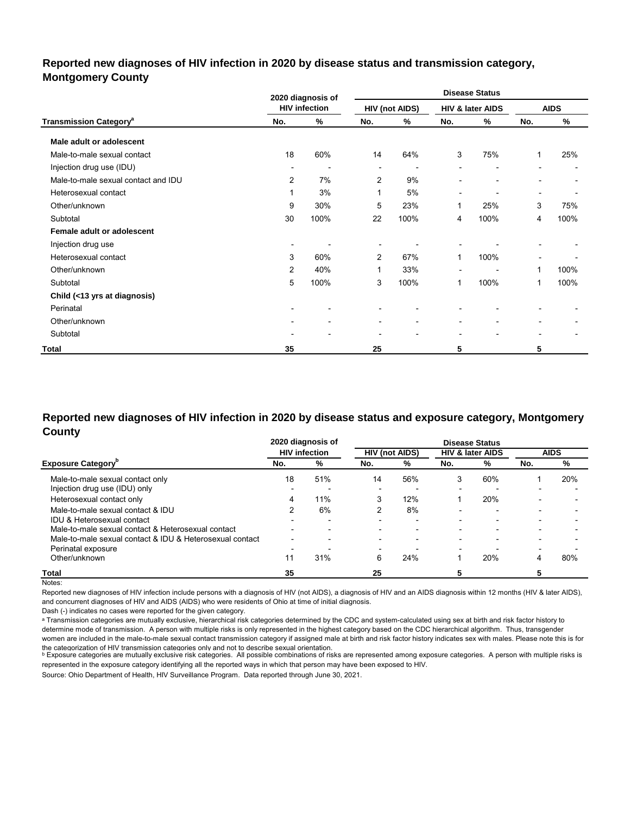#### **Reported new diagnoses of HIV infection in 2020 by disease status and transmission category, Montgomery County**

|                                          |                          | 2020 diagnosis of    | <b>Disease Status</b>    |                       |                          |                          |                          |             |
|------------------------------------------|--------------------------|----------------------|--------------------------|-----------------------|--------------------------|--------------------------|--------------------------|-------------|
|                                          |                          | <b>HIV infection</b> |                          | <b>HIV (not AIDS)</b> |                          | HIV & later AIDS         |                          | <b>AIDS</b> |
| <b>Transmission Category<sup>a</sup></b> | No.                      | %                    | No.                      | %                     | No.                      | %                        | No.                      | %           |
| Male adult or adolescent                 |                          |                      |                          |                       |                          |                          |                          |             |
| Male-to-male sexual contact              | 18                       | 60%                  | 14                       | 64%                   | 3                        | 75%                      | 1                        | 25%         |
| Injection drug use (IDU)                 | $\overline{\phantom{a}}$ |                      | $\overline{\phantom{0}}$ |                       | $\overline{\phantom{a}}$ | $\overline{\phantom{0}}$ |                          |             |
| Male-to-male sexual contact and IDU      | $\overline{2}$           | 7%                   | 2                        | 9%                    | $\overline{a}$           | $\blacksquare$           | $\overline{\phantom{0}}$ |             |
| Heterosexual contact                     | 1                        | 3%                   | 1                        | 5%                    | $\overline{\phantom{0}}$ | $\blacksquare$           | ۰                        |             |
| Other/unknown                            | 9                        | 30%                  | 5                        | 23%                   | 1                        | 25%                      | 3                        | 75%         |
| Subtotal                                 | 30                       | 100%                 | 22                       | 100%                  | 4                        | 100%                     | 4                        | 100%        |
| Female adult or adolescent               |                          |                      |                          |                       |                          |                          |                          |             |
| Injection drug use                       | $\overline{\phantom{a}}$ |                      | $\overline{\phantom{0}}$ |                       |                          |                          |                          |             |
| Heterosexual contact                     | 3                        | 60%                  | 2                        | 67%                   | 1                        | 100%                     |                          |             |
| Other/unknown                            | 2                        | 40%                  | 1                        | 33%                   |                          | $\overline{\phantom{0}}$ | 1                        | 100%        |
| Subtotal                                 | 5                        | 100%                 | 3                        | 100%                  | 1                        | 100%                     | 1                        | 100%        |
| Child (<13 yrs at diagnosis)             |                          |                      |                          |                       |                          |                          |                          |             |
| Perinatal                                |                          |                      |                          |                       |                          |                          |                          |             |
| Other/unknown                            | $\overline{\phantom{a}}$ | ۰                    | $\overline{\phantom{a}}$ | ۰                     | $\blacksquare$           | ۰                        |                          |             |
| Subtotal                                 |                          |                      | $\blacksquare$           | ٠                     | $\overline{\phantom{0}}$ | $\overline{\phantom{0}}$ |                          |             |
| Total                                    | 35                       |                      | 25                       |                       | 5                        |                          | 5                        |             |

#### **Reported new diagnoses of HIV infection in 2020 by disease status and exposure category, Montgomery County**

|                                                          |                          | 2020 diagnosis of        |                          |                          |                          | <b>Disease Status</b>       |                          |             |
|----------------------------------------------------------|--------------------------|--------------------------|--------------------------|--------------------------|--------------------------|-----------------------------|--------------------------|-------------|
|                                                          |                          | <b>HIV infection</b>     |                          | <b>HIV (not AIDS)</b>    |                          | <b>HIV &amp; later AIDS</b> |                          | <b>AIDS</b> |
| <b>Exposure Category</b> "                               | No.                      | %                        | No.                      | %                        | No.                      | %                           | No.                      | %           |
| Male-to-male sexual contact only                         | 18                       | 51%                      | 14                       | 56%                      | 3                        | 60%                         |                          | 20%         |
| Injection drug use (IDU) only                            |                          |                          | $\overline{\phantom{0}}$ |                          | $\overline{\phantom{0}}$ | $\overline{a}$              |                          |             |
| Heterosexual contact only                                | 4                        | 11%                      | 3                        | 12%                      |                          | 20%                         |                          |             |
| Male-to-male sexual contact & IDU                        |                          | 6%                       |                          | 8%                       | $\overline{\phantom{0}}$ | $\overline{\phantom{0}}$    | $\overline{\phantom{0}}$ |             |
| IDU & Heterosexual contact                               |                          |                          | $\overline{\phantom{0}}$ |                          | -                        |                             |                          |             |
| Male-to-male sexual contact & Heterosexual contact       | -                        | $\overline{\phantom{0}}$ | $\overline{\phantom{0}}$ | $\overline{\phantom{a}}$ | $\overline{\phantom{0}}$ | -                           | $\overline{\phantom{0}}$ |             |
| Male-to-male sexual contact & IDU & Heterosexual contact | $\overline{\phantom{0}}$ | $\overline{\phantom{0}}$ | $\overline{\phantom{0}}$ | $\overline{\phantom{0}}$ | $\overline{\phantom{0}}$ | $\overline{\phantom{0}}$    |                          |             |
| Perinatal exposure                                       |                          |                          | $\overline{\phantom{a}}$ |                          | $\overline{\phantom{0}}$ |                             |                          |             |
| Other/unknown                                            | 11                       | 31%                      | 6                        | 24%                      |                          | 20%                         |                          | 80%         |
| <b>Total</b>                                             | 35                       |                          | 25                       |                          |                          |                             |                          |             |

Notes:

Reported new diagnoses of HIV infection include persons with a diagnosis of HIV (not AIDS), a diagnosis of HIV and an AIDS diagnosis within 12 months (HIV & later AIDS), and concurrent diagnoses of HIV and AIDS (AIDS) who were residents of Ohio at time of initial diagnosis.

Dash (-) indicates no cases were reported for the given category.

a Transmission categories are mutually exclusive, hierarchical risk categories determined by the CDC and system-calculated using sex at birth and risk factor history to determine mode of transmission. A person with multiple risks is only represented in the highest category based on the CDC hierarchical algorithm. Thus, transgender women are included in the male-to-male sexual contact transmission category if assigned male at birth and risk factor history indicates sex with males. Please note this is for

the cateqorization of HIV transmission cateqories only and not to describe sexual orientation.<br>▷ Exposure categories are mutually exclusive risk categories. All possible combinations of risks are represented among exposu represented in the exposure category identifying all the reported ways in which that person may have been exposed to HIV.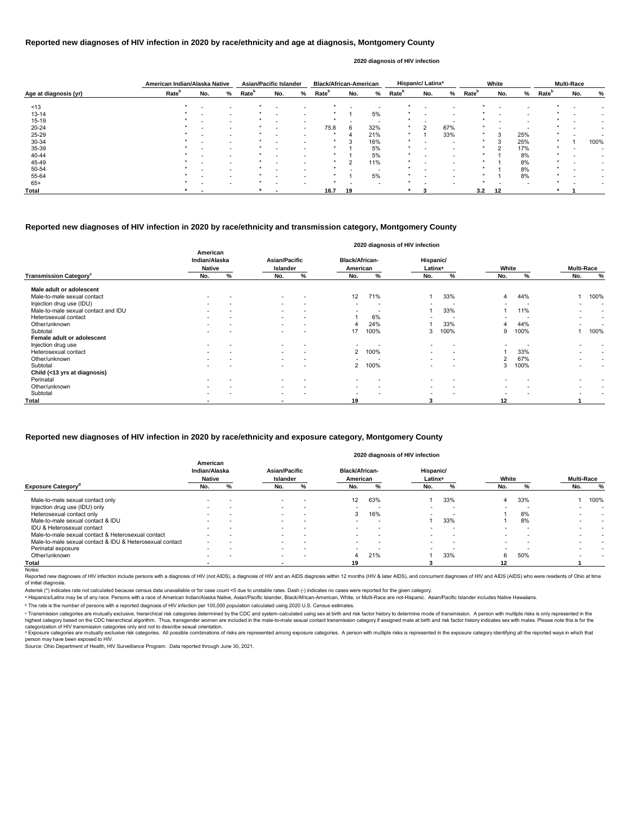|                       | American Indian/Alaska Native |     |                          | <b>Asian/Pacific Islander</b> |                          |                          | <b>Black/African-American</b> |     |                          |                   | Hispanic/Latinx <sup>a</sup> |                          |                   | White                    |     |                   | <b>Multi-Race</b> |      |
|-----------------------|-------------------------------|-----|--------------------------|-------------------------------|--------------------------|--------------------------|-------------------------------|-----|--------------------------|-------------------|------------------------------|--------------------------|-------------------|--------------------------|-----|-------------------|-------------------|------|
| Age at diagnosis (yr) | Rate <sup>b</sup>             | No. | %                        | <b>Rate</b> <sup>b</sup>      | No.                      | %                        | Rate <sup>b</sup>             | No. | %                        | Rate <sup>b</sup> | No.                          | %                        | Rate <sup>b</sup> | No.                      | %   | Rate <sup>b</sup> | No.               | %    |
| ~13                   |                               |     |                          |                               |                          |                          |                               |     |                          |                   |                              |                          |                   |                          |     |                   |                   |      |
| $13 - 14$             |                               |     |                          |                               |                          |                          |                               |     | 5%                       |                   |                              |                          |                   |                          |     |                   |                   |      |
| 15-19                 |                               |     | $\overline{\phantom{0}}$ |                               | $\overline{\phantom{0}}$ | $\overline{\phantom{0}}$ |                               |     | $\overline{\phantom{a}}$ |                   | $\overline{\phantom{a}}$     | $\overline{\phantom{0}}$ |                   | $\overline{\phantom{0}}$ |     |                   |                   |      |
| 20-24                 |                               |     |                          |                               |                          | $\overline{\phantom{0}}$ | 75.8                          | 6   | 32%                      | $\star$           | $\mathcal{P}$                | 67%                      |                   |                          |     |                   |                   |      |
| 25-29                 |                               |     |                          |                               |                          |                          |                               |     | 21%                      | $\star$           |                              | 33%                      |                   |                          | 25% |                   |                   |      |
| 30-34                 |                               |     |                          |                               |                          |                          |                               |     | 16%                      | $\star$           |                              |                          |                   |                          | 25% |                   |                   | 100% |
| 35-39                 |                               |     |                          |                               |                          |                          |                               |     | 5%                       |                   |                              | $\overline{\phantom{0}}$ | $\star$           | ົ                        | 17% | $\star$           |                   |      |
| 40-44                 |                               |     |                          |                               |                          |                          | $\star$                       |     | 5%                       | *                 |                              |                          |                   |                          | 8%  | $\star$           |                   |      |
| 45-49                 |                               |     |                          |                               |                          |                          |                               |     | 11%                      | $\star$           |                              |                          |                   |                          | 8%  |                   |                   |      |
| 50-54                 |                               |     |                          |                               |                          |                          |                               |     |                          |                   |                              |                          |                   |                          | 8%  |                   |                   |      |
| 55-64                 |                               |     |                          |                               |                          |                          |                               |     | 5%                       |                   |                              |                          |                   |                          | 8%  |                   |                   |      |
| $65+$                 |                               |     | $\overline{\phantom{0}}$ |                               |                          |                          | $\star$                       |     | $\overline{\phantom{0}}$ |                   |                              |                          |                   |                          |     |                   |                   |      |
| Total                 |                               |     |                          |                               |                          |                          | 16.7                          | 19  |                          |                   |                              |                          | 3.2               | 12                       |     |                   |                   |      |

Reported new diagnoses of HIV infection include persons with a diagnosis of HIV (not AIDS), a diagnosis of HIV and an AIDS diagnosis within 12 months (HIV & later AIDS), and concurrent diagnoses of HIV and AIDS (AIDS) who of initial diagnosis.

|                                           |                                            |   |                                  |                          |                                   | 2020 diagnosis of HIV infection |                                  |                          |       |                          |                          |                          |
|-------------------------------------------|--------------------------------------------|---|----------------------------------|--------------------------|-----------------------------------|---------------------------------|----------------------------------|--------------------------|-------|--------------------------|--------------------------|--------------------------|
|                                           | American<br>Indian/Alaska<br><b>Native</b> |   | <b>Asian/Pacific</b><br>Islander |                          | <b>Black/African-</b><br>American |                                 | Hispanic/<br>Latinx <sup>a</sup> |                          | White |                          | <b>Multi-Race</b>        |                          |
| <b>Transmission Category</b> <sup>c</sup> | No.                                        | % | No.                              | %                        | No.                               | %                               | No.                              | %                        | No.   | %                        | No.                      | %                        |
| Male adult or adolescent                  |                                            |   |                                  |                          |                                   |                                 |                                  |                          |       |                          |                          |                          |
| Male-to-male sexual contact               |                                            |   | $\sim$                           |                          | 12                                | 71%                             |                                  | 33%                      | 4     | 44%                      |                          | 100%                     |
| Injection drug use (IDU)                  |                                            |   | $\sim$                           | $\overline{\phantom{0}}$ | $\overline{\phantom{0}}$          | . .                             |                                  |                          |       | $\overline{\phantom{a}}$ | $\overline{\phantom{0}}$ | $\overline{\phantom{0}}$ |
| Male-to-male sexual contact and IDU       |                                            |   | $\sim$                           | $\overline{\phantom{a}}$ | $\overline{\phantom{0}}$          |                                 |                                  | 33%                      |       | 11%                      | $\overline{\phantom{a}}$ | $\overline{\phantom{a}}$ |
| Heterosexual contact                      |                                            |   | $\sim$                           | $\overline{\phantom{0}}$ |                                   | 6%                              |                                  |                          |       |                          | $\overline{\phantom{0}}$ | $\overline{\phantom{a}}$ |
| Other/unknown                             |                                            |   | $\sim$                           | $\overline{\phantom{a}}$ |                                   | 24%                             |                                  | 33%                      |       | 44%                      |                          | $\overline{\phantom{0}}$ |
| Subtotal                                  |                                            |   |                                  |                          | 17                                | 100%                            | 3                                | 100%                     | 9     | 100%                     |                          | 100%                     |
| Female adult or adolescent                |                                            |   |                                  |                          |                                   |                                 |                                  |                          |       |                          |                          |                          |
| Injection drug use                        |                                            |   |                                  |                          |                                   |                                 |                                  |                          |       |                          |                          |                          |
| Heterosexual contact                      |                                            |   | $\sim$                           | $\overline{\phantom{0}}$ | 2                                 | 100%                            |                                  |                          |       | 33%                      | $\overline{\phantom{0}}$ | $\overline{\phantom{0}}$ |
| Other/unknown                             |                                            |   | $\sim$                           | $\overline{\phantom{a}}$ | $\overline{\phantom{0}}$          |                                 | $\overline{\phantom{0}}$         | $\overline{\phantom{0}}$ | 2     | 67%                      | $\overline{\phantom{0}}$ | $\overline{\phantom{a}}$ |
| Subtotal                                  |                                            |   |                                  |                          | 2                                 | 100%                            |                                  |                          | 3     | 100%                     |                          | $\overline{\phantom{0}}$ |
| Child (<13 yrs at diagnosis)              |                                            |   |                                  |                          |                                   |                                 |                                  |                          |       |                          |                          |                          |
| Perinatal                                 |                                            |   |                                  |                          |                                   |                                 |                                  |                          |       |                          |                          |                          |
| Other/unknown                             |                                            |   | $\sim$                           | $\overline{\phantom{0}}$ |                                   | $\overline{\phantom{a}}$        |                                  |                          |       |                          |                          |                          |
| Subtotal                                  |                                            |   | $\sim$                           |                          | $\overline{\phantom{0}}$          |                                 | $\overline{\phantom{0}}$         |                          |       |                          |                          |                          |
| Total                                     |                                            |   | $\overline{\phantom{0}}$         |                          | 19                                |                                 | 3                                |                          | 12    |                          |                          |                          |

© Transmission categories are mutually exclusive, hierarchical risk categories determined by the CDC and system-calculated using sex at birth and risk factor history to determine mode of transmission. A person with multip highest category based on the CDC hierarchical algorithm. Thus, transgender women are included in the male-to-male sexual contact transmission category if assigned male at birth and risk factor history indicates sex with m categorization of HIV transmission categories only and not to describe sexual orientation.

#### **Reported new diagnoses of HIV infection in 2020 by race/ethnicity and age at diagnosis, Montgomery County**

<sup>d</sup> Exposure categories are mutually exclusive risk categories. All possible combinations of risks are represented among exposure categories. A person with multiple risks is represented in the exposure category identifyin person may have been exposed to HIV.

#### **2020 diagnosis of HIV infection**

#### **Reported new diagnoses of HIV infection in 2020 by race/ethnicity and transmission category, Montgomery County**

Source: Ohio Department of Health, HIV Surveillance Program. Data reported through June 30, 2021.

|                                                          | American<br>Indian/Alaska<br><b>Native</b> |   | <b>Asian/Pacific</b><br><b>Islander</b> |                          | <b>Black/African-</b><br>American |                          | Hispanic/<br>Latinx <sup>a</sup> |     | White                    |     | <b>Multi-Race</b> |      |
|----------------------------------------------------------|--------------------------------------------|---|-----------------------------------------|--------------------------|-----------------------------------|--------------------------|----------------------------------|-----|--------------------------|-----|-------------------|------|
| <b>Exposure Category</b> <sup>a</sup>                    | No.                                        | ℅ | No.                                     | "∕o                      | No.                               | ℅                        | No.                              |     | No.                      |     | No.               | %    |
| Male-to-male sexual contact only                         |                                            |   |                                         |                          | $12 \overline{ }$                 | 63%                      |                                  | 33% |                          | 33% |                   | 100% |
| Injection drug use (IDU) only                            |                                            |   | $\overline{\phantom{0}}$                |                          |                                   |                          |                                  |     |                          |     |                   |      |
| Heterosexual contact only                                |                                            |   | $\sim$                                  | $\overline{\phantom{a}}$ | 3                                 | 16%                      | $\overline{\phantom{0}}$         |     |                          | 8%  |                   |      |
| Male-to-male sexual contact & IDU                        |                                            |   | $\sim$                                  | <b>.</b>                 |                                   |                          |                                  | 33% |                          | 8%  |                   |      |
| IDU & Heterosexual contact                               |                                            |   |                                         |                          |                                   | $\overline{\phantom{a}}$ |                                  |     |                          |     |                   |      |
| Male-to-male sexual contact & Heterosexual contact       |                                            |   | $\overline{\phantom{0}}$                | $\overline{\phantom{a}}$ |                                   | $\overline{\phantom{a}}$ | $\overline{\phantom{0}}$         |     | $\overline{\phantom{0}}$ | -   |                   |      |
| Male-to-male sexual contact & IDU & Heterosexual contact | $\overline{\phantom{0}}$                   |   | $\overline{\phantom{0}}$                |                          |                                   | $\overline{\phantom{0}}$ |                                  |     |                          |     |                   |      |
| Perinatal exposure                                       | -                                          |   |                                         |                          |                                   |                          |                                  |     |                          |     |                   |      |
| Other/unknown                                            | $\overline{\phantom{0}}$                   |   | $\overline{\phantom{0}}$                | $\overline{\phantom{a}}$ | 4                                 | 21%                      |                                  | 33% | 6                        | 50% |                   |      |
| Total                                                    |                                            |   |                                         |                          | 19                                |                          |                                  |     | 12 <sup>12</sup>         |     |                   |      |
| Notes:                                                   |                                            |   |                                         |                          |                                   |                          |                                  |     |                          |     |                   |      |

### **Reported new diagnoses of HIV infection in 2020 by race/ethnicity and exposure category, Montgomery County**

#### **2020 diagnosis of HIV infection**

Asterisk (\*) indicates rate not calculated because census data unavailable or for case count <5 due to unstable rates. Dash (-) indicates no cases were reported for the given category.

a Hispanics/Latinx may be of any race. Persons with a race of American Indian/Alaska Native, Asian/Pacific Islander, Black/African-American, White, or Multi-Race are not-Hispanic. Asian/Pacific Islander includes Native Haw

ᵇ The rate is the number of persons with a reported diagnosis of HIV infection per 100,000 population calculated using 2020 U.S. Census estimates.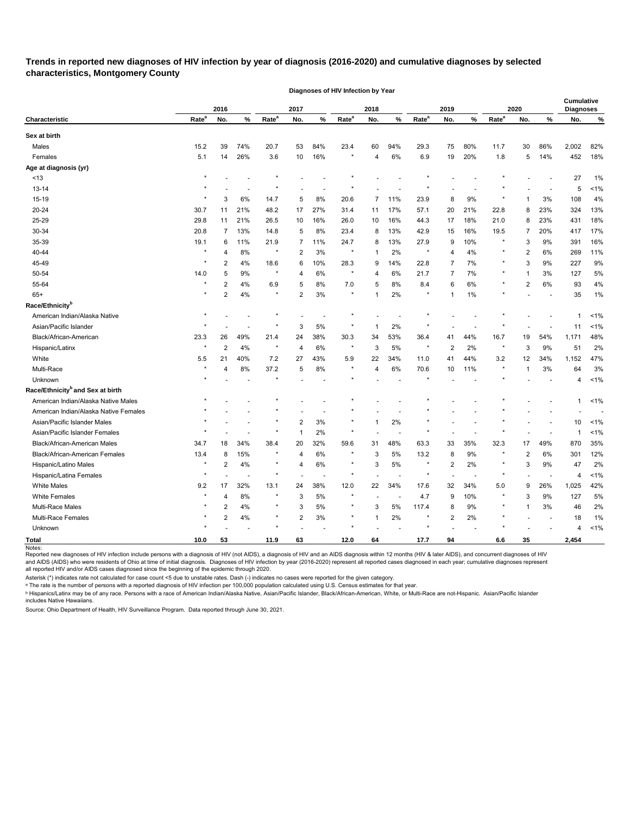# **Trends in reported new diagnoses of HIV infection by year of diagnosis (2016-2020) and cumulative diagnoses by selected characteristics, Montgomery County**

**Diagnoses of HIV Infection by Year**

|                                              |                   | 2016           |       |                   | 2017           |       |                   | 2018        |                          |                   | 2019                    |      |                   | 2020           |      | <b>Cumulative</b><br><b>Diagnoses</b> |         |
|----------------------------------------------|-------------------|----------------|-------|-------------------|----------------|-------|-------------------|-------------|--------------------------|-------------------|-------------------------|------|-------------------|----------------|------|---------------------------------------|---------|
| <b>Characteristic</b>                        | Rate <sup>a</sup> | No.            | %     | Rate <sup>a</sup> | No.            | %     | Rate <sup>a</sup> | No.         | $\%$                     | Rate <sup>a</sup> | No.                     | $\%$ | Rate <sup>a</sup> | No.            | $\%$ | No.                                   | %       |
| Sex at birth                                 |                   |                |       |                   |                |       |                   |             |                          |                   |                         |      |                   |                |      |                                       |         |
| Males                                        | 15.2              | 39             | 74%   | 20.7              | 53             | 84%   | 23.4              | 60          | 94%                      | 29.3              | 75                      | 80%  | 11.7              | 30             | 86%  | 2,002                                 | 82%     |
| Females                                      | 5.1               | 14             | 26%   | 3.6               | 10             | 16%   |                   | 4           | 6%                       | 6.9               | 19                      | 20%  | 1.8               | 5              | 14%  | 452                                   | 18%     |
| Age at diagnosis (yr)                        |                   |                |       |                   |                |       |                   |             |                          |                   |                         |      |                   |                |      |                                       |         |
| $<13$                                        |                   |                |       |                   |                |       |                   |             |                          |                   |                         |      |                   |                |      | 27                                    | 1%      |
| $13 - 14$                                    |                   |                |       |                   |                |       |                   |             |                          |                   |                         |      |                   |                |      | 5                                     | $1\%$   |
| 15-19                                        |                   | 3              | 6%    | 14.7              | 5              | 8%    | 20.6              | 7           | 11%                      | 23.9              | 8                       | 9%   |                   | 1              | 3%   | 108                                   | 4%      |
| 20-24                                        | 30.7              | 11             | 21%   | 48.2              | 17             | 27%   | 31.4              | 11          | 17%                      | 57.1              | 20                      | 21%  | 22.8              | 8              | 23%  | 324                                   | 13%     |
| 25-29                                        | 29.8              | 11             | 21%   | 26.5              | 10             | 16%   | 26.0              | 10          | 16%                      | 44.3              | 17                      | 18%  | 21.0              | 8              | 23%  | 431                                   | 18%     |
| 30-34                                        | 20.8              | 7              | 13%   | 14.8              | 5              | 8%    | 23.4              | 8           | 13%                      | 42.9              | 15                      | 16%  | 19.5              | 7              | 20%  | 417                                   | 17%     |
| 35-39                                        | 19.1              | 6              | 11%   | 21.9              | 7              | 11%   | 24.7              | 8           | 13%                      | 27.9              | 9                       | 10%  |                   | 3              | 9%   | 391                                   | 16%     |
| 40-44                                        | $\star$           | 4              | 8%    | $\star$           | 2              | 3%    | $\star$           | -1          | 2%                       | $\star$           | 4                       | 4%   |                   | 2              | 6%   | 269                                   | 11%     |
| 45-49                                        |                   | 2              | 4%    | 18.6              | 6              | 10%   | 28.3              | 9           | 14%                      | 22.8              | 7                       | 7%   |                   | 3              | 9%   | 227                                   | 9%      |
| 50-54                                        | 14.0              | 5              | 9%    | $\star$           | 4              | 6%    |                   | 4           | 6%                       | 21.7              | 7                       | 7%   |                   | -1             | 3%   | 127                                   | 5%      |
| 55-64                                        |                   | $\overline{2}$ | 4%    | 6.9               | 5              | 8%    | 7.0               | 5           | 8%                       | 8.4               | 6                       | 6%   | $^\star$          | $\overline{c}$ | 6%   | 93                                    | 4%      |
| $65+$                                        | $\star$           | $\overline{2}$ | 4%    | $\star$           | $\overline{2}$ | 3%    | $\star$           | -1          | 2%                       | $\star$           | 1                       | 1%   | $^\star$          |                |      | 35                                    | 1%      |
| Race/Ethnicity <sup>b</sup>                  |                   |                |       |                   |                |       |                   |             |                          |                   |                         |      |                   |                |      |                                       |         |
| American Indian/Alaska Native                |                   |                |       |                   |                |       |                   |             |                          |                   |                         |      |                   |                |      |                                       | $1\%$   |
| Asian/Pacific Islander                       |                   |                |       | $\star$           | 3              | 5%    |                   | -1          | 2%                       |                   |                         |      |                   |                |      | 11                                    | 1%      |
| Black/African-American                       | 23.3              | 26             | 49%   | 21.4              | 24             | 38%   | 30.3              | 34          | 53%                      | 36.4              | 41                      | 44%  | 16.7              | 19             | 54%  | 1,171                                 | 48%     |
| Hispanic/Latinx                              | $^\star$          | $\overline{2}$ | 4%    | $\star$           | 4              | 6%    | $\star$           | 3           | 5%                       | $\star$           | $\overline{2}$          | 2%   | $\star$           | 3              | 9%   | 51                                    | 2%      |
| White                                        | 5.5               | 21             | 40%   | 7.2               | 27             | 43%   | 5.9               | 22          | 34%                      | 11.0              | 41                      | 44%  | 3.2               | 12             | 34%  | 1,152                                 | 47%     |
| Multi-Race                                   | $\star$           |                | 8%    | 37.2              | 5              | 8%    | *                 | 4           | 6%                       | 70.6              | 10                      | 11%  |                   | 1              | 3%   | 64                                    | 3%      |
| Unknown                                      |                   |                |       | $\star$           |                |       |                   |             |                          | $\star$           |                         |      |                   |                |      | 4                                     | 1%      |
| Race/Ethnicity <sup>b</sup> and Sex at birth |                   |                |       |                   |                |       |                   |             |                          |                   |                         |      |                   |                |      |                                       |         |
| American Indian/Alaska Native Males          |                   |                |       |                   |                |       |                   |             |                          |                   |                         |      |                   |                |      | 1                                     | $1\%$   |
| American Indian/Alaska Native Females        |                   |                |       |                   |                |       |                   |             |                          |                   |                         |      |                   |                |      |                                       |         |
| Asian/Pacific Islander Males                 |                   |                |       |                   | 2              | 3%    |                   | $\mathbf 1$ | 2%                       |                   |                         |      |                   |                |      | 10                                    | 1%      |
| Asian/Pacific Islander Females               |                   |                |       | ×                 | $\mathbf 1$    | 2%    |                   |             |                          |                   |                         |      |                   |                |      |                                       | 1%      |
| Black/African-American Males                 | 34.7              | 18             | 34%   | 38.4              | 20             | 32%   | 59.6              | 31          | 48%                      | 63.3              | 33                      | 35%  | 32.3              | 17             | 49%  | 870                                   | 35%     |
| Black/African-American Females               | 13.4              | 8              | 15%   | $\star$           | $\overline{4}$ | 6%    |                   | 3           | 5%                       | 13.2              | 8                       | 9%   |                   | $\overline{2}$ | 6%   | 301                                   | 12%     |
| Hispanic/Latino Males                        | $\star$           | $\overline{c}$ | $4\%$ |                   | 4              | $6\%$ |                   | 3           | $5\%$                    |                   | $\sqrt{2}$              | 2%   |                   | 3              | 9%   | 47                                    | $2\%$   |
| Hispanic/Latina Females                      | $^\star$          |                |       | $\star$           |                |       | ×                 |             |                          | $\star$           | L,                      | ÷,   | $\star$           |                |      | 4                                     | $< 1\%$ |
| <b>White Males</b>                           | 9.2               | 17             | 32%   | 13.1              | 24             | 38%   | 12.0              | 22          | 34%                      | 17.6              | 32                      | 34%  | 5.0               | 9              | 26%  | 1,025                                 | 42%     |
| <b>White Females</b>                         | $\star$           | $\overline{4}$ | $8\%$ | $\star$           | 3              | $5\%$ | $\star$           |             | $\overline{\phantom{a}}$ | 4.7               | 9                       | 10%  | $\star$           | 3              | 9%   | 127                                   | $5\%$   |
| Multi-Race Males                             | $^\star$          | $\overline{2}$ | 4%    | $\star$           | 3              | $5\%$ | $\star$           | 3           | 5%                       | 117.4             | 8                       | 9%   | $\star$           | $\mathbf{1}$   | 3%   | 46                                    | $2\%$   |
| Multi-Race Females                           |                   | 2              | $4\%$ | $\star$           | $\overline{c}$ | $3\%$ |                   | 1           | 2%                       | $\star$           | $\overline{\mathbf{c}}$ | 2%   | $\star$           |                |      | 18                                    | $1\%$   |
| Unknown                                      | $^\star$          |                |       | $\star$           |                |       | ×                 |             |                          | $\star$           |                         |      |                   |                |      | 4                                     | $< 1\%$ |
| <b>Total</b><br>Notes:                       | 10.0              | 53             |       | 11.9              | 63             |       | $12.0$            | 64          |                          | 17.7              | 94                      |      | 6.6               | 35             |      | 2,454                                 |         |

Reported new diagnoses of HIV infection include persons with a diagnosis of HIV (not AIDS), a diagnosis of HIV and an AIDS diagnosis within 12 months (HIV & later AIDS), and concurrent diagnoses of HIV and AIDS (AIDS) who were residents of Ohio at time of initial diagnosis. Diagnoses of HIV infection by year (2016-2020) represent all reported cases diagnosed in each year; cumulative diagnoses represent

all reported HIV and/or AIDS cases diagnosed since the beginning of the epidemic through 2020.

Asterisk (\*) indicates rate not calculated for case count <5 due to unstable rates. Dash (-) indicates no cases were reported for the given category.

ᵃ The rate is the number of persons with a reported diagnosis of HIV infection per 100,000 population calculated using U.S. Census estimates for that year.

<sup>ь</sup> Hispanics/Latinx may be of any race. Persons with a race of American Indian/Alaska Native, Asian/Pacific Islander, Black/African-American, White, or Multi-Race are not-Hispanic. Asian/Pacific Islander includes Native Hawaiians.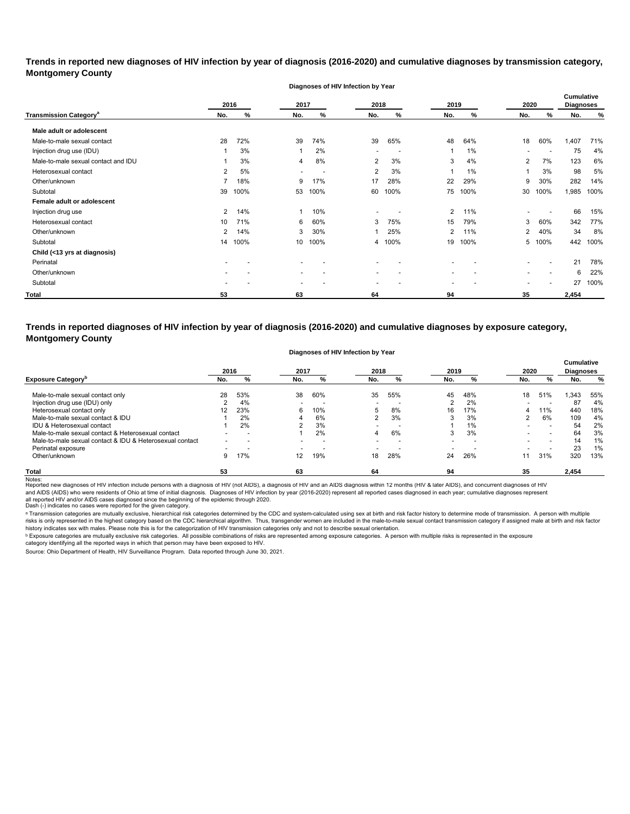**Trends in reported new diagnoses of HIV infection by year of diagnosis (2016-2020) and cumulative diagnoses by transmission category, Montgomery County**

|                                          |                |      |      | Diagnoses of HIV Infection by Year |                          |      |                |      |                |                          |                                       |      |
|------------------------------------------|----------------|------|------|------------------------------------|--------------------------|------|----------------|------|----------------|--------------------------|---------------------------------------|------|
|                                          | 2016           |      | 2017 |                                    | 2018                     |      | 2019           |      | 2020           |                          | <b>Cumulative</b><br><b>Diagnoses</b> |      |
| <b>Transmission Category<sup>a</sup></b> | No.            | %    | No.  | %                                  | No.                      | %    | No.            | ℅    | No.            | %                        | No.                                   | %    |
| Male adult or adolescent                 |                |      |      |                                    |                          |      |                |      |                |                          |                                       |      |
| Male-to-male sexual contact              | 28             | 72%  | 39   | 74%                                | 39                       | 65%  | 48             | 64%  | 18             | 60%                      | 1,407                                 | 71%  |
| Injection drug use (IDU)                 |                | 3%   |      | 2%                                 |                          |      |                | 1%   |                |                          | 75                                    | 4%   |
| Male-to-male sexual contact and IDU      |                | 3%   | 4    | 8%                                 | 2                        | 3%   | 3              | 4%   | $\overline{2}$ | 7%                       | 123                                   | 6%   |
| Heterosexual contact                     | 2              | 5%   |      |                                    | $\overline{2}$           | 3%   | 1              | 1%   | 1              | 3%                       | 98                                    | 5%   |
| Other/unknown                            |                | 18%  | 9    | 17%                                | 17                       | 28%  | 22             | 29%  | 9              | 30%                      | 282                                   | 14%  |
| Subtotal                                 | 39             | 100% | 53   | 100%                               | 60                       | 100% | 75             | 100% | 30             | 100%                     | 1,985                                 | 100% |
| Female adult or adolescent               |                |      |      |                                    |                          |      |                |      |                |                          |                                       |      |
| Injection drug use                       | $\overline{2}$ | 14%  | 1    | 10%                                |                          |      | $\overline{2}$ | 11%  |                |                          | 66                                    | 15%  |
| Heterosexual contact                     | 10             | 71%  | 6    | 60%                                | 3                        | 75%  | 15             | 79%  | 3              | 60%                      | 342                                   | 77%  |
| Other/unknown                            | $\overline{2}$ | 14%  | 3    | 30%                                |                          | 25%  | $\overline{2}$ | 11%  | $\overline{2}$ | 40%                      | 34                                    | 8%   |
| Subtotal                                 | 14             | 100% | 10   | 100%                               | 4                        | 100% | 19             | 100% |                | 5 100%                   | 442                                   | 100% |
| Child (<13 yrs at diagnosis)             |                |      |      |                                    |                          |      |                |      |                |                          |                                       |      |
| Perinatal                                |                |      |      |                                    |                          |      |                |      |                |                          | 21                                    | 78%  |
| Other/unknown                            |                |      |      |                                    | $\overline{\phantom{a}}$ |      | -              |      |                | $\overline{\phantom{a}}$ | 6                                     | 22%  |
| Subtotal                                 |                |      |      |                                    |                          |      |                |      |                |                          | 27                                    | 100% |
| <b>Total</b>                             | 53             |      | 63   |                                    | 64                       |      | 94             |      | 35             |                          | 2,454                                 |      |

**Trends in reported diagnoses of HIV infection by year of diagnosis (2016-2020) and cumulative diagnoses by exposure category, Montgomery County**

#### **Diagnoses of HIV Infection by Year**

|                                                          |     | 2017<br>2016 |                          |                          | 2018<br>2019 |     | 2020 |     |     | <b>Cumulative</b><br><b>Diagnoses</b> |       |     |
|----------------------------------------------------------|-----|--------------|--------------------------|--------------------------|--------------|-----|------|-----|-----|---------------------------------------|-------|-----|
| <b>Exposure Category</b> <sup>p</sup>                    | No. |              | No.                      | %                        | No.          | %   | No.  | %   | No. | %                                     | No.   | %   |
| Male-to-male sexual contact only                         | 28  | 53%          | 38                       | 60%                      | 35           | 55% | 45   | 48% | 18  | 51%                                   | 1,343 | 55% |
| Injection drug use (IDU) only                            |     | 4%           |                          | $\overline{\phantom{0}}$ |              |     | ົ    | 2%  |     |                                       | 87    | 4%  |
| Heterosexual contact only                                | 12  | 23%          | 6                        | 10%                      | 5            | 8%  | 16   | 17% | 4   | 11%                                   | 440   | 18% |
| Male-to-male sexual contact & IDU                        |     | 2%           |                          | 6%                       |              | 3%  | 3    | 3%  |     | 6%                                    | 109   | 4%  |
| IDU & Heterosexual contact                               |     | 2%           | ົ                        | 3%                       | $\sim$       |     |      | 1%  |     | $\overline{\phantom{a}}$              | 54    | 2%  |
| Male-to-male sexual contact & Heterosexual contact       |     | -            |                          | 2%                       | 4            | 6%  | 3    | 3%  |     | $\overline{\phantom{a}}$              | 64    | 3%  |
| Male-to-male sexual contact & IDU & Heterosexual contact |     |              | $\overline{\phantom{a}}$ | $\overline{\phantom{0}}$ |              |     |      |     |     | $\overline{\phantom{0}}$              | 14    | 1%  |
| Perinatal exposure                                       |     |              |                          | $\overline{\phantom{0}}$ |              |     |      |     |     |                                       | 23    | 1%  |
| Other/unknown                                            | 9   | 17%          | 12                       | 19%                      | 18           | 28% | 24   | 26% | 11  | 31%                                   | 320   | 13% |
| <b>Total</b>                                             | 53  |              | 63                       |                          | 64           |     | 94   |     | 35  |                                       | 2,454 |     |

Notes:<br>Reported new diagnoses of HIV infection include persons with a diagnosis of HIV (not AIDS), a diagnosis addignosis of HIDS diagnosis within 12 months (HIV & later AIDS), and concurrent diagnoses of HIV all reported HIV and/or AIDS cases diagnosed since the beginning of the epidemic through 2020.<br>Dash (-) indicates no cases were reported for the given category. and AIDS (AIDS) who were residents of Ohio at time of initial diagnosis. Diagnoses of HIV infection by year (2016-2020) represent all reported cases diagnosed in each year; cumulative diagnoses represent

a Transmission categories are mutually exclusive, hierarchical risk categories determined by the CDC and system-calculated using sex at birth and risk factor history to determine mode of transmission. A person with multip risks is only represented in the highest category based on the CDC hierarchical algorithm. Thus, transgender women are included in the male-to-male sexual contact transmission category if assigned male at birth and risk f history indicates sex with males. Please note this is for the categorization of HIV transmission categories only and not to describe sexual orientation.

 $^{\rm b}$  Exposure categories are mutually exclusive risk categories. All possible combinations of risks are represented among exposure categories. A person with multiple risks is represented in the exposure

category identifying all the reported ways in which that person may have been exposed to HIV. Source: Ohio Department of Health, HIV Surveillance Program. Data reported through June 30, 2021.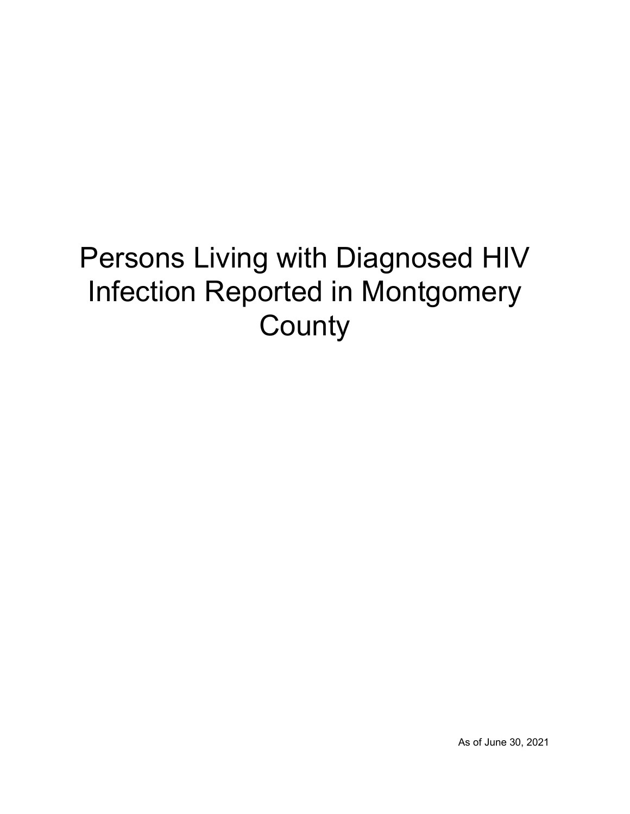# Persons Living with Diagnosed HIV Infection Reported in Montgomery **County**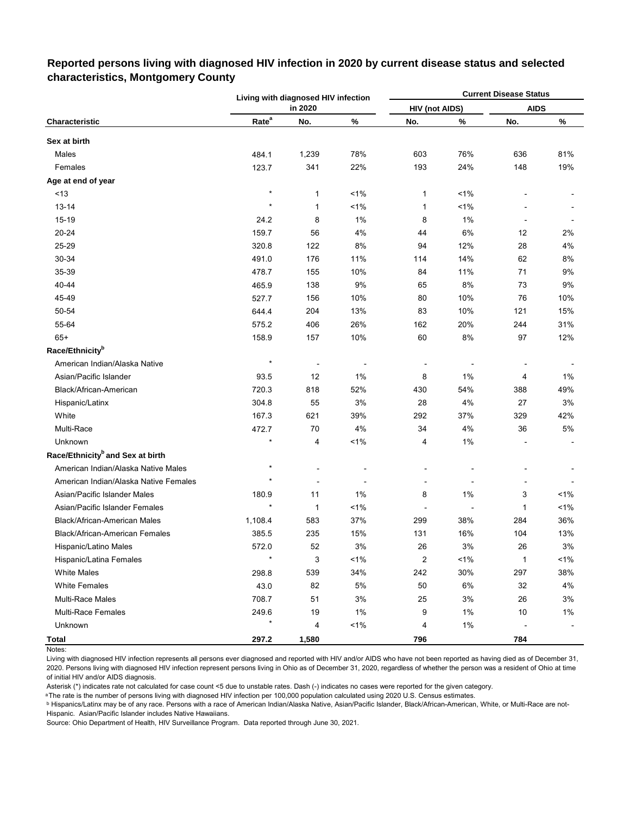|                                              |                   | Living with diagnosed HIV infection |         |                       |         | <b>Current Disease Status</b> |       |
|----------------------------------------------|-------------------|-------------------------------------|---------|-----------------------|---------|-------------------------------|-------|
|                                              |                   | in 2020                             |         | <b>HIV (not AIDS)</b> |         | <b>AIDS</b>                   |       |
| Characteristic                               | Rate <sup>a</sup> | No.                                 | $\%$    | No.                   | $\%$    | No.                           | $\%$  |
| Sex at birth                                 |                   |                                     |         |                       |         |                               |       |
| Males                                        | 484.1             | 1,239                               | 78%     | 603                   | 76%     | 636                           | 81%   |
| Females                                      | 123.7             | 341                                 | 22%     | 193                   | 24%     | 148                           | 19%   |
| Age at end of year                           |                   |                                     |         |                       |         |                               |       |
| < 13                                         | $\star$           | 1                                   | 1%      | 1                     | 1%      |                               |       |
| 13-14                                        | $\star$           | 1                                   | 1%      | 1                     | 1%      |                               |       |
| $15 - 19$                                    | 24.2              | 8                                   | 1%      | 8                     | 1%      | Ĭ.                            |       |
| 20-24                                        | 159.7             | 56                                  | 4%      | 44                    | 6%      | 12                            | 2%    |
| 25-29                                        | 320.8             | 122                                 | 8%      | 94                    | 12%     | 28                            | 4%    |
| 30-34                                        | 491.0             | 176                                 | 11%     | 114                   | 14%     | 62                            | 8%    |
| 35-39                                        | 478.7             | 155                                 | 10%     | 84                    | 11%     | 71                            | 9%    |
| 40-44                                        | 465.9             | 138                                 | 9%      | 65                    | 8%      | 73                            | 9%    |
| 45-49                                        | 527.7             | 156                                 | 10%     | 80                    | 10%     | 76                            | 10%   |
| 50-54                                        | 644.4             | 204                                 | 13%     | 83                    | 10%     | 121                           | 15%   |
| 55-64                                        | 575.2             | 406                                 | 26%     | 162                   | 20%     | 244                           | 31%   |
| $65+$                                        | 158.9             | 157                                 | 10%     | 60                    | 8%      | 97                            | 12%   |
| Race/Ethnicity <sup>b</sup>                  |                   |                                     |         |                       |         |                               |       |
| American Indian/Alaska Native                | $\star$           |                                     |         |                       |         |                               |       |
| Asian/Pacific Islander                       | 93.5              | 12                                  | 1%      | 8                     | 1%      | 4                             | 1%    |
| Black/African-American                       | 720.3             | 818                                 | 52%     | 430                   | 54%     | 388                           | 49%   |
| Hispanic/Latinx                              | 304.8             | 55                                  | 3%      | 28                    | 4%      | 27                            | 3%    |
| White                                        | 167.3             | 621                                 | 39%     | 292                   | 37%     | 329                           | 42%   |
| Multi-Race                                   | 472.7             | 70                                  | 4%      | 34                    | 4%      | 36                            | 5%    |
| Unknown                                      |                   | 4                                   | $< 1\%$ | 4                     | 1%      |                               |       |
| Race/Ethnicity <sup>b</sup> and Sex at birth |                   |                                     |         |                       |         |                               |       |
| American Indian/Alaska Native Males          | $\star$           |                                     |         |                       |         |                               |       |
| American Indian/Alaska Native Females        | $\star$           |                                     |         |                       |         |                               |       |
| Asian/Pacific Islander Males                 | 180.9             | 11                                  | 1%      | 8                     | 1%      | 3                             | 1%    |
| Asian/Pacific Islander Females               |                   | $\mathbf{1}$                        | 1%      |                       |         | 1                             | 1%    |
| <b>Black/African-American Males</b>          | 1,108.4           | 583                                 | 37%     | 299                   | 38%     | 284                           | 36%   |
| Black/African-American Females               | 385.5             | 235                                 | 15%     | 131                   | 16%     | 104                           | 13%   |
| Hispanic/Latino Males                        | 572.0             | 52                                  | 3%      | 26                    | $3%$    | 26                            | $3%$  |
| Hispanic/Latina Females                      | $\star$           | 3                                   | 1%      | $\boldsymbol{2}$      | $< 1\%$ | $\mathbf{1}$                  | $1\%$ |
| <b>White Males</b>                           | 298.8             | 539                                 | 34%     | 242                   | 30%     | 297                           | 38%   |
| <b>White Females</b>                         | 43.0              | 82                                  | 5%      | 50                    | 6%      | 32                            | 4%    |
| Multi-Race Males                             | 708.7             | 51                                  | $3%$    | 25                    | $3%$    | 26                            | 3%    |
| <b>Multi-Race Females</b>                    | 249.6             | 19                                  | 1%      | 9                     | $1\%$   | 10                            | 1%    |
| Unknown                                      | $\star$           | 4                                   | 1%      | 4                     | $1\%$   |                               |       |
| <b>Total</b>                                 | 297.2             | 1,580                               |         | 796                   |         | 784                           |       |

## **Reported persons living with diagnosed HIV infection in 2020 by current disease status and selected characteristics, Montgomery County**

Living with diagnosed HIV infection represents all persons ever diagnosed and reported with HIV and/or AIDS who have not been reported as having died as of December 31, 2020. Persons living with diagnosed HIV infection represent persons living in Ohio as of December 31, 2020, regardless of whether the person was a resident of Ohio at time of initial HIV and/or AIDS diagnosis.

Asterisk (\*) indicates rate not calculated for case count <5 due to unstable rates. Dash (-) indicates no cases were reported for the given category.

a The rate is the number of persons living with diagnosed HIV infection per 100,000 population calculated using 2020 U.S. Census estimates.

ᵇ Hispanics/Latinx may be of any race. Persons with a race of American Indian/Alaska Native, Asian/Pacific Islander, Black/African-American, White, or Multi-Race are not-Hispanic. Asian/Pacific Islander includes Native Hawaiians.

Notes: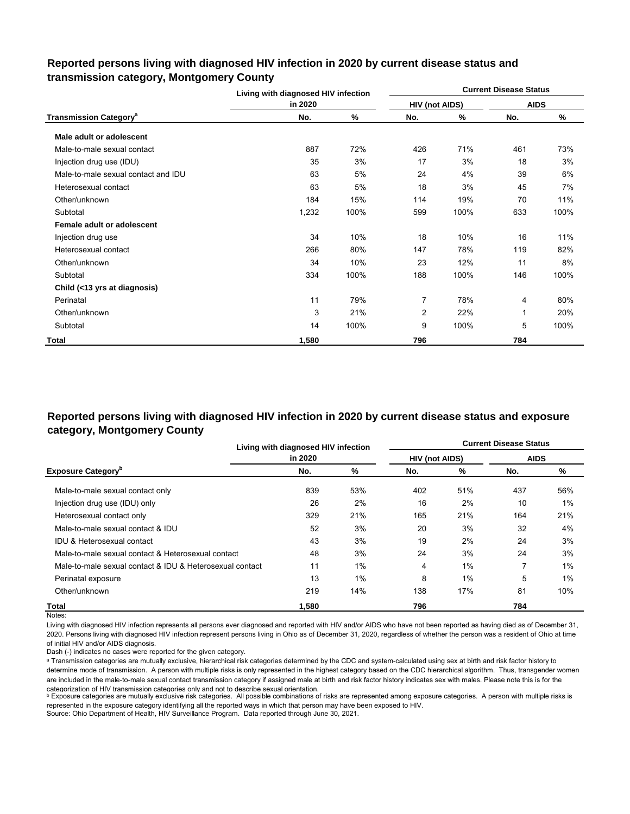### **Reported persons living with diagnosed HIV infection in 2020 by current disease status and transmission category, Montgomery County**

|                                          | Living with diagnosed HIV infection |      |                       |      | <b>Current Disease Status</b> |      |  |
|------------------------------------------|-------------------------------------|------|-----------------------|------|-------------------------------|------|--|
|                                          | in 2020                             |      | <b>HIV (not AIDS)</b> |      | <b>AIDS</b>                   |      |  |
| <b>Transmission Category<sup>a</sup></b> | No.                                 | %    | No.                   | %    | No.                           | %    |  |
| Male adult or adolescent                 |                                     |      |                       |      |                               |      |  |
| Male-to-male sexual contact              | 887                                 | 72%  | 426                   | 71%  | 461                           | 73%  |  |
| Injection drug use (IDU)                 | 35                                  | 3%   | 17                    | 3%   | 18                            | 3%   |  |
| Male-to-male sexual contact and IDU      | 63                                  | 5%   | 24                    | 4%   | 39                            | 6%   |  |
| Heterosexual contact                     | 63                                  | 5%   | 18                    | 3%   | 45                            | 7%   |  |
| Other/unknown                            | 184                                 | 15%  | 114                   | 19%  | 70                            | 11%  |  |
| Subtotal                                 | 1,232                               | 100% | 599                   | 100% | 633                           | 100% |  |
| Female adult or adolescent               |                                     |      |                       |      |                               |      |  |
| Injection drug use                       | 34                                  | 10%  | 18                    | 10%  | 16                            | 11%  |  |
| Heterosexual contact                     | 266                                 | 80%  | 147                   | 78%  | 119                           | 82%  |  |
| Other/unknown                            | 34                                  | 10%  | 23                    | 12%  | 11                            | 8%   |  |
| Subtotal                                 | 334                                 | 100% | 188                   | 100% | 146                           | 100% |  |
| Child (<13 yrs at diagnosis)             |                                     |      |                       |      |                               |      |  |
| Perinatal                                | 11                                  | 79%  | 7                     | 78%  | 4                             | 80%  |  |
| Other/unknown                            | 3                                   | 21%  | 2                     | 22%  | 1                             | 20%  |  |
| Subtotal                                 | 14                                  | 100% | 9                     | 100% | 5                             | 100% |  |
| Total                                    | 1,580                               |      | 796                   |      | 784                           |      |  |

# **Reported persons living with diagnosed HIV infection in 2020 by current disease status and exposure category, Montgomery County**

|                                                          | Living with diagnosed HIV infection |     | <b>Current Disease Status</b> |     |             |     |  |
|----------------------------------------------------------|-------------------------------------|-----|-------------------------------|-----|-------------|-----|--|
|                                                          | in 2020                             |     | <b>HIV (not AIDS)</b>         |     | <b>AIDS</b> |     |  |
| <b>Exposure Category</b> <sup>b</sup>                    | No.                                 | %   | No.                           | %   | No.         | %   |  |
| Male-to-male sexual contact only                         | 839                                 | 53% | 402                           | 51% | 437         | 56% |  |
| Injection drug use (IDU) only                            | 26                                  | 2%  | 16                            | 2%  | 10          | 1%  |  |
| Heterosexual contact only                                | 329                                 | 21% | 165                           | 21% | 164         | 21% |  |
| Male-to-male sexual contact & IDU                        | 52                                  | 3%  | 20                            | 3%  | 32          | 4%  |  |
| <b>IDU &amp; Heterosexual contact</b>                    | 43                                  | 3%  | 19                            | 2%  | 24          | 3%  |  |
| Male-to-male sexual contact & Heterosexual contact       | 48                                  | 3%  | 24                            | 3%  | 24          | 3%  |  |
| Male-to-male sexual contact & IDU & Heterosexual contact | 11                                  | 1%  | 4                             | 1%  |             | 1%  |  |
| Perinatal exposure                                       | 13                                  | 1%  | 8                             | 1%  | 5           | 1%  |  |
| Other/unknown                                            | 219                                 | 14% | 138                           | 17% | 81          | 10% |  |
| Total                                                    | 1.580                               |     | 796                           |     | 784         |     |  |

Notes:

Living with diagnosed HIV infection represents all persons ever diagnosed and reported with HIV and/or AIDS who have not been reported as having died as of December 31, 2020. Persons living with diagnosed HIV infection represent persons living in Ohio as of December 31, 2020, regardless of whether the person was a resident of Ohio at time of initial HIV and/or AIDS diagnosis.

Dash (-) indicates no cases were reported for the given category.

a Transmission categories are mutually exclusive, hierarchical risk categories determined by the CDC and system-calculated using sex at birth and risk factor history to determine mode of transmission. A person with multiple risks is only represented in the highest category based on the CDC hierarchical algorithm. Thus, transgender women are included in the male-to-male sexual contact transmission category if assigned male at birth and risk factor history indicates sex with males. Please note this is for the categorization of HIV transmission categories only and not to describe sexual orientation.

**b** Exposure categories are mutually exclusive risk categories. All possible combinations of risks are represented among exposure categories. A person with multiple risks is represented in the exposure category identifying all the reported ways in which that person may have been exposed to HIV.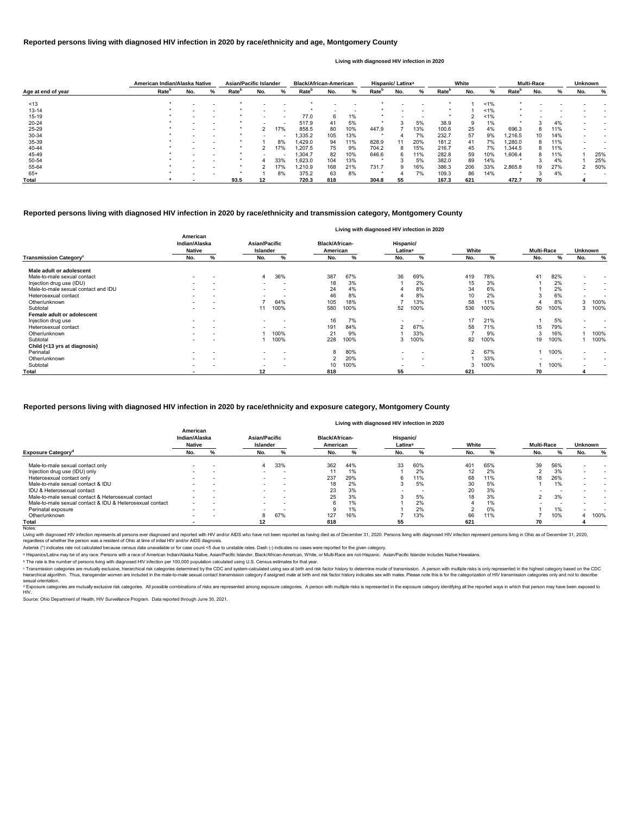|                    |                   | American Indian/Alaska Native |                          | Asian/Pacific Islander |     |                          | <b>Black/African-American</b> |     |       | Hispanic/ Latinx <sup>a</sup> |     |     | White             |     |        | <b>Multi-Race</b> |     |     | <b>Unknown</b> |     |
|--------------------|-------------------|-------------------------------|--------------------------|------------------------|-----|--------------------------|-------------------------------|-----|-------|-------------------------------|-----|-----|-------------------|-----|--------|-------------------|-----|-----|----------------|-----|
| Age at end of year | Rate <sup>p</sup> | No.                           | %                        | Rate <sup>r</sup>      | No. | %                        | Rate <sup>r</sup>             | No. | %     | Rate <sup>r</sup>             | No. | %   | Rate <sup>r</sup> | No. | ℅      | Rate <sup>'</sup> | No. |     | No.            | ℅   |
| ~13                |                   |                               |                          |                        |     |                          |                               |     |       |                               |     |     |                   |     | 1%     |                   |     |     |                |     |
| $13 - 14$          |                   |                               |                          |                        |     |                          |                               |     |       |                               |     |     |                   |     | $1\%$  |                   |     |     |                |     |
| $15 - 19$          |                   |                               | $\overline{\phantom{0}}$ |                        |     | $\overline{\phantom{a}}$ | 77.0                          | 6   | $1\%$ |                               |     |     |                   |     | $~1\%$ |                   |     |     |                |     |
| $20 - 24$          |                   |                               |                          |                        |     |                          | 517.9                         | 41  | 5%    |                               |     | 5%  | 38.9              |     | 1%     |                   |     | 4%  |                |     |
| 25-29              |                   |                               | $\overline{\phantom{0}}$ |                        |     | 17%                      | 858.5                         | 80  | 10%   | 447.9                         |     | 13% | 100.6             | 25  | 4%     | 696.3             | 8   | 11% |                |     |
| 30-34              |                   |                               |                          |                        |     | $\overline{\phantom{a}}$ | .335.2                        | 105 | 13%   |                               |     | 7%  | 232.7             | 57  | 9%     | 1.216.5           | 10  | 14% |                |     |
| 35-39              |                   |                               | $\overline{\phantom{a}}$ |                        |     | 8%                       | ,429.0                        | 94  | 11%   | 828.9                         | 11  | 20% | 181.2             | 41  | 7%     | ,280.0            | 8   | 11% |                |     |
| 40-44              |                   |                               |                          |                        |     | 17%                      | ,207.5                        | 75  | 9%    | 704.2                         | 8   | 15% | 216.7             | 45  | 7%     | .344.5            | 8.  | 11% |                |     |
| 45-49              |                   |                               |                          |                        |     |                          | ,304.7                        | 82  | 10%   | 646.6                         | 6   | 11% | 282.8             | 59  | 10%    | 1,606.4           | 8   | 11% |                | 25% |
| 50-54              |                   |                               | $\overline{\phantom{0}}$ |                        |     | 33%                      | ,623.0                        | 104 | 13%   |                               |     | 5%  | 382.0             | 89  | 14%    |                   |     | 4%  |                | 25% |
| 55-64              |                   |                               |                          |                        |     | 17%                      | 1,210.9                       | 168 | 21%   | 731.7                         | 9   | 16% | 386.3             | 206 | 33%    | 2,865.8           | 19  | 27% |                | 50% |
| $65+$              |                   |                               |                          |                        |     | 8%                       | 375.2                         | 63  | 8%    |                               |     | 7%  | 109.3             | 86  | 14%    |                   |     | 4%  |                |     |
| Total              |                   |                               |                          | 93.5                   | 12  |                          | 720.3                         | 818 |       | 304.8                         | 55  |     | 167.3             | 621 |        | 472.7             | 70  |     |                |     |

© Transmission categories are mutually exclusive, hierarchical risk categories determined by the CDC and system-calculated using sex at birth and risk factor history to determine mode of transmission. A person with multip hierarchical algorithm. Thus, transgender women are included in the male-to-male sexual contact transmission category if assigned male at birth and risk factor history indicates sex with males. Please note this is for the sexual orientation.

<sup>d</sup> Exposure categories are mutually exclusive risk categories. All possible combinations of risks are represented among exposure categories. A person with multiple risks is represented in the exposure category identifying

|                                           | Living with diagnosed HIV infection in 2020 |   |                                  |                          |  |                                   |      |                                  |                          |               |      |                   |      |                          |                          |
|-------------------------------------------|---------------------------------------------|---|----------------------------------|--------------------------|--|-----------------------------------|------|----------------------------------|--------------------------|---------------|------|-------------------|------|--------------------------|--------------------------|
|                                           | American<br>Indian/Alaska<br><b>Native</b>  |   | Asian/Pacific<br><b>Islander</b> |                          |  | <b>Black/African-</b><br>American |      | Hispanic/<br>Latinx <sup>a</sup> |                          | White         |      | <b>Multi-Race</b> |      | <b>Unknown</b>           |                          |
| <b>Transmission Category</b> <sup>c</sup> | No.                                         | % | No.                              | %                        |  | No.                               | %    | No.                              | %                        | No.           | %    | No.               | %    | No.                      | %                        |
| Male adult or adolescent                  |                                             |   |                                  |                          |  |                                   |      |                                  |                          |               |      |                   |      |                          |                          |
| Male-to-male sexual contact               | $\overline{\phantom{0}}$                    |   | 4                                | 36%                      |  | 387                               | 67%  | 36                               | 69%                      | 419           | 78%  | 41                | 82%  | $\overline{\phantom{0}}$ | $\overline{\phantom{0}}$ |
| Injection drug use (IDU)                  |                                             |   | $\sim$                           | . .                      |  | 18                                | 3%   |                                  | 2%                       | 15            | 3%   |                   | 2%   | $\overline{\phantom{a}}$ | $\overline{\phantom{0}}$ |
| Male-to-male sexual contact and IDU       |                                             |   |                                  | $\overline{\phantom{a}}$ |  | 24                                | 4%   |                                  | 8%                       | 34            | 6%   |                   | 2%   | $\overline{\phantom{a}}$ | $\overline{\phantom{0}}$ |
| Heterosexual contact                      |                                             |   | $\overline{\phantom{a}}$         | . .                      |  | 46                                | 8%   |                                  | 8%                       | 10            | 2%   | 3                 | 6%   | $\overline{\phantom{a}}$ |                          |
| Other/unknown                             |                                             |   |                                  | 64%                      |  | 105                               | 18%  |                                  | 13%                      | 58            | 11%  |                   | 8%   | 3                        | 100%                     |
| Subtotal                                  | $\overline{\phantom{0}}$                    |   |                                  | 100%                     |  | 580                               | 100% | 52                               | 100%                     | 536           | 100% | 50                | 100% | 3                        | 100%                     |
| Female adult or adolescent                |                                             |   |                                  |                          |  |                                   |      |                                  |                          |               |      |                   |      |                          |                          |
| Injection drug use                        | $\overline{\phantom{a}}$                    |   | $\overline{\phantom{a}}$         | $\overline{\phantom{a}}$ |  | 16                                | 7%   | $\overline{\phantom{0}}$         | $\overline{\phantom{0}}$ | 17            | 21%  |                   | 5%   | $\overline{\phantom{a}}$ | $\overline{\phantom{0}}$ |
| Heterosexual contact                      | $\overline{\phantom{0}}$                    |   | $\overline{\phantom{a}}$         | $\overline{\phantom{a}}$ |  | 191                               | 84%  | 2                                | 67%                      | 58            | 71%  | 15                | 79%  | $\overline{\phantom{0}}$ | $\overline{\phantom{0}}$ |
| Other/unknown                             |                                             |   |                                  | 100%                     |  | 21                                | 9%   |                                  | 33%                      |               | 9%   | 3                 | 16%  |                          | 100%                     |
| Subtotal                                  |                                             |   |                                  | 100%                     |  | 228                               | 100% |                                  | 100%                     | 82            | 100% | 19                | 100% |                          | 100%                     |
| Child (<13 yrs at diagnosis)              |                                             |   |                                  |                          |  |                                   |      |                                  |                          |               |      |                   |      |                          |                          |
| Perinatal                                 | $\overline{\phantom{0}}$                    |   | $\overline{\phantom{0}}$         | $\overline{\phantom{a}}$ |  | 8                                 | 80%  | $\overline{\phantom{a}}$         | $\overline{\phantom{0}}$ | $\mathcal{P}$ | 67%  |                   | 100% | $\overline{\phantom{a}}$ |                          |
| Other/unknown                             | $\overline{\phantom{0}}$                    |   | $\sim$                           | $\overline{\phantom{a}}$ |  | ົ                                 | 20%  | $\overline{\phantom{a}}$         | $\overline{\phantom{0}}$ |               | 33%  |                   |      | $\overline{\phantom{a}}$ | $\overline{\phantom{0}}$ |
| Subtotal                                  | $\overline{\phantom{0}}$                    |   | $\overline{\phantom{a}}$         | $\overline{\phantom{a}}$ |  | 10                                | 100% | $\overline{\phantom{a}}$         |                          | 3             | 100% |                   | 100% | $\overline{\phantom{a}}$ |                          |
| <b>Total</b>                              | $\overline{\phantom{a}}$                    |   | 12                               |                          |  | 818                               |      | 55                               |                          | 621           |      | 70                |      |                          |                          |

|                                                          | American<br>Indian/Alaska<br><b>Native</b> |   |                          | Asian/Pacific<br>Islander |     | <b>Black/African-</b><br>American |                          | Hispanic/<br>Latinx <sup>a</sup> |     | White | <b>Multi-Race</b> |     | <b>Unknown</b> |      |
|----------------------------------------------------------|--------------------------------------------|---|--------------------------|---------------------------|-----|-----------------------------------|--------------------------|----------------------------------|-----|-------|-------------------|-----|----------------|------|
| <b>Exposure Category<sup>a</sup></b>                     | No.                                        |   | No.                      |                           | No. |                                   | No.                      |                                  | No. |       | No.               |     | No.            |      |
| Male-to-male sexual contact only                         |                                            |   | 4                        | 33%                       | 362 | 44%                               | 33                       | 60%                              | 401 | 65%   | 39                | 56% |                |      |
| Injection drug use (IDU) only                            |                                            |   |                          |                           |     | 1%                                |                          | 2%                               | 12  | 2%    |                   | 3%  |                |      |
| Heterosexual contact only                                |                                            |   |                          |                           | 237 | 29%                               | 'n                       | 11%                              | 68  | 11%   | 18                | 26% |                |      |
| Male-to-male sexual contact & IDU                        |                                            |   |                          |                           |     | 2%                                |                          | 5%                               | 30  | 5%    |                   | 1%  |                |      |
| IDU & Heterosexual contact                               | $\overline{\phantom{0}}$                   | - | $\overline{\phantom{a}}$ | $\overline{\phantom{a}}$  | 23  | 3%                                | $\overline{\phantom{a}}$ | $\overline{\phantom{a}}$         | 20  | 3%    |                   |     |                |      |
| Male-to-male sexual contact & Heterosexual contact       |                                            |   |                          |                           | 25  | 3%                                |                          | 5%                               | 18  | 3%    |                   | 3%  |                |      |
| Male-to-male sexual contact & IDU & Heterosexual contact | $\overline{\phantom{a}}$                   |   |                          |                           |     | $1\%$                             |                          | 2%                               |     | 1%    |                   |     |                |      |
| Perinatal exposure                                       | $\overline{\phantom{a}}$                   | - |                          |                           |     | 1%                                |                          | 2%                               |     | 0%    |                   | 1%  |                |      |
| Other/unknown                                            |                                            |   |                          | 67%                       | 127 | 16%                               |                          | 13%                              | 66  | 11%   |                   | 10% |                | 100% |
| Total                                                    |                                            |   |                          |                           | 818 |                                   | 55                       |                                  | 621 |       | 70                |     |                |      |

Notes:

Living with diagnosed HIV infection represents all persons ever diagnosed and reported with HIV and/or AIDS who have not been reported as having died as of December 31, 2020. Persons living with diagnosed HIV infection rep regardless of whether the person was a resident of Ohio at time of initial HIV and/or AIDS diagnosis.

#### **Reported persons living with diagnosed HIV infection in 2020 by race/ethnicity and transmission category, Montgomery County**

#### **Reported persons living with diagnosed HIV infection in 2020 by race/ethnicity and age, Montgomery County**

#### **Living with diagnosed HIV infection in 2020**

#### **Reported persons living with diagnosed HIV infection in 2020 by race/ethnicity and exposure category, Montgomery County**

#### **Living with diagnosed HIV infection in 2020**

Source: Ohio Department of Health, HIV Surveillance Program. Data reported through June 30, 2021.

ᵇ The rate is the number of persons living with diagnosed HIV infection per 100,000 population calculated using U.S. Census estimates for that year.

Asterisk (\*) indicates rate not calculated because census data unavailable or for case count <5 due to unstable rates. Dash (-) indicates no cases were reported for the given category.

a Hispanics/Latinx may be of any race. Persons with a race of American Indian/Alaska Native, Asian/Pacific Islander, Black/African-American, White, or Multi-Race are not-Hispanic. Asian/Pacific Islander includes Native Haw

#### HIV.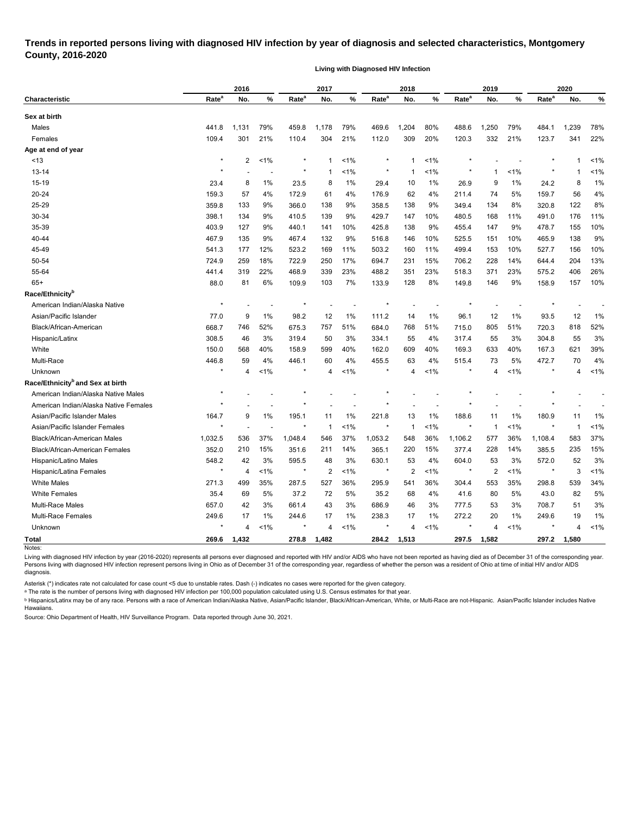## **Trends in reported persons living with diagnosed HIV infection by year of diagnosis and selected characteristics, Montgomery County, 2016-2020**

**Living with Diagnosed HIV Infection**

| Rate <sup>a</sup><br>Rate <sup>a</sup><br>Rate <sup>a</sup><br>Rate <sup>a</sup><br>%<br>Rate <sup>a</sup><br>%<br>%<br>No.<br><b>Characteristic</b><br>No.<br>No.<br>No.<br>No.<br>%<br>Sex at birth<br>1,131<br>79%<br>79%<br>,204<br>80%<br>1,250<br>79%<br>1,239<br>Males<br>441.8<br>1,178<br>469.6<br>484.1<br>459.8<br>488.6<br>109.4<br>301<br>21%<br>304<br>21%<br>309<br>20%<br>332<br>21%<br>123.7<br>341<br>Females<br>110.4<br>112.0<br>120.3<br>Age at end of year<br>$\ast$<br>$\overline{c}$<br>1%<br>$\star$<br>~13<br>$1\%$<br>$1\%$<br>1<br>-1<br>1<br>1%<br>1%<br>13-14<br>$\star$<br>$\star$<br>1%<br>1<br>-1<br>1<br>1<br>15-19<br>23.4<br>8<br>1%<br>23.5<br>1%<br>29.4<br>26.9<br>9<br>1%<br>24.2<br>8<br>8<br>10<br>1%<br>20-24<br>57<br>4%<br>74<br>5%<br>159.3<br>172.9<br>61<br>4%<br>176.9<br>62<br>4%<br>211.4<br>159.7<br>56<br>25-29<br>359.8<br>133<br>9%<br>366.0<br>138<br>9%<br>138<br>9%<br>134<br>8%<br>320.8<br>122<br>358.5<br>349.4<br>30-34<br>398.1<br>134<br>9%<br>139<br>9%<br>10%<br>11%<br>176<br>410.5<br>429.7<br>147<br>480.5<br>168<br>491.0<br>35-39<br>403.9<br>127<br>9%<br>440.1<br>10%<br>425.8<br>138<br>9%<br>455.4<br>9%<br>478.7<br>141<br>147<br>155<br>135<br>9%<br>9%<br>10%<br>465.9<br>40-44<br>467.9<br>467.4<br>132<br>516.8<br>146<br>525.5<br>151<br>10%<br>138<br>45-49<br>12%<br>11%<br>160<br>11%<br>10%<br>156<br>541.3<br>177<br>523.2<br>169<br>503.2<br>499.4<br>153<br>527.7<br>50-54<br>724.9<br>17%<br>694.7<br>15%<br>706.2<br>644.4<br>204<br>259<br>18%<br>722.9<br>250<br>231<br>228<br>14%<br>55-64<br>468.9<br>23%<br>23%<br>575.2<br>441.4<br>22%<br>339<br>488.2<br>351<br>518.3<br>371<br>23%<br>406<br>319<br>$65+$<br>88.0<br>81<br>6%<br>103<br>7%<br>128<br>8%<br>146<br>9%<br>109.9<br>133.9<br>149.8<br>158.9<br>157<br>Race/Ethnicity <sup>b</sup><br>$\star$<br>American Indian/Alaska Native<br>Asian/Pacific Islander<br>77.0<br>9<br>1%<br>98.2<br>12<br>1%<br>111.2<br>1%<br>96.1<br>12<br>1%<br>93.5<br>12<br>14<br>Black/African-American<br>746<br>52%<br>51%<br>51%<br>805<br>51%<br>668.7<br>675.3<br>757<br>684.0<br>768<br>715.0<br>720.3<br>818<br>308.5<br>46<br>3%<br>319.4<br>50<br>3%<br>334.1<br>55<br>4%<br>317.4<br>55<br>3%<br>304.8<br>55<br>Hispanic/Latinx<br>150.0<br>White<br>568<br>40%<br>158.9<br>599<br>40%<br>162.0<br>609<br>40%<br>169.3<br>633<br>40%<br>167.3<br>621<br>Multi-Race<br>4%<br>4%<br>4%<br>5%<br>446.8<br>59<br>446.1<br>60<br>455.5<br>63<br>515.4<br>73<br>472.7<br>70<br>1%<br>$< 1\%$<br>1%<br>1%<br>$\star$<br>$\star$<br>$\star$<br>Unknown<br>4<br>4<br>4<br>×<br>4<br>4<br>Race/Ethnicity <sup>b</sup> and Sex at birth<br>$\ast$<br>American Indian/Alaska Native Males<br>American Indian/Alaska Native Females<br>$\star$<br>9<br>1%<br>1%<br>1%<br>1%<br>Asian/Pacific Islander Males<br>164.7<br>195.1<br>221.8<br>13<br>188.6<br>11<br>180.9<br>11<br>11<br>$\star$<br>1%<br>$\star$<br>Asian/Pacific Islander Females<br>$1\%$<br>1%<br>-1<br>1<br>-1<br>1<br>536<br>37%<br>37%<br>548<br>36%<br>36%<br>583<br>1,032.5<br>546<br>1,053.2<br>1,106.2<br>577<br>Black/African-American Males<br>1,048.4<br>1,108.4<br>352.0<br>15%<br>14%<br>365.1<br>220<br>15%<br>377.4<br>228<br>14%<br>385.5<br>235<br><b>Black/African-American Females</b><br>210<br>351.6<br>211<br>548.2<br>42<br>3%<br>595.5<br>3%<br>630.1<br>4%<br>604.0<br>53<br>3%<br>572.0<br>52<br>Hispanic/Latino Males<br>48<br>53<br>2<br>$\star$<br>1%<br>$\overline{2}$<br>$< 1\%$<br>$\star$<br>1%<br>$\overline{2}$<br>$< 1\%$<br>3<br>Hispanic/Latina Females<br>4<br>$\star$<br>$^\star$<br>$^\star$<br><b>White Males</b><br>35%<br>36%<br>36%<br>271.3<br>499<br>287.5<br>527<br>553<br>35%<br>298.8<br>539<br>295.9<br>541<br>304.4<br><b>White Females</b><br>35.4<br>41.6<br>69<br>37.2<br>5%<br>35.2<br>4%<br>80<br>5%<br>43.0<br>5%<br>72<br>68<br>82<br>Multi-Race Males<br>657.0<br>42<br>3%<br>686.9<br>3%<br>3%<br>661.4<br>43<br>46<br>777.5<br>53<br>3%<br>708.7<br>51<br>Multi-Race Females<br>249.6<br>17<br>1%<br>$1\%$<br>1%<br>272.2<br>20<br>1%<br>244.6<br>17<br>238.3<br>17<br>249.6<br>19<br>$\star$<br>$\star$<br>$\star$<br>4<br>$\star$<br>$\overline{4}$<br>$\ast$<br>Unknown<br>$1\%$<br>4<br>$1\%$<br>4<br>$1\%$<br>$1\%$<br>4 |              |       | 2016  |  | 2017 |  | 2018 |       | 2019  |  |  | 2020 |         |  |
|------------------------------------------------------------------------------------------------------------------------------------------------------------------------------------------------------------------------------------------------------------------------------------------------------------------------------------------------------------------------------------------------------------------------------------------------------------------------------------------------------------------------------------------------------------------------------------------------------------------------------------------------------------------------------------------------------------------------------------------------------------------------------------------------------------------------------------------------------------------------------------------------------------------------------------------------------------------------------------------------------------------------------------------------------------------------------------------------------------------------------------------------------------------------------------------------------------------------------------------------------------------------------------------------------------------------------------------------------------------------------------------------------------------------------------------------------------------------------------------------------------------------------------------------------------------------------------------------------------------------------------------------------------------------------------------------------------------------------------------------------------------------------------------------------------------------------------------------------------------------------------------------------------------------------------------------------------------------------------------------------------------------------------------------------------------------------------------------------------------------------------------------------------------------------------------------------------------------------------------------------------------------------------------------------------------------------------------------------------------------------------------------------------------------------------------------------------------------------------------------------------------------------------------------------------------------------------------------------------------------------------------------------------------------------------------------------------------------------------------------------------------------------------------------------------------------------------------------------------------------------------------------------------------------------------------------------------------------------------------------------------------------------------------------------------------------------------------------------------------------------------------------------------------------------------------------------------------------------------------------------------------------------------------------------------------------------------------------------------------------------------------------------------------------------------------------------------------------------------------------------------------------------------------------------------------------------------------------------------------------------------------------------------------------------------------------------------------------------------------------------------------------------------------------------------------------------------------------------------------------------------------------------------------------------------------------------------------------------------------------------------------------------------------------------------------------------------------------------------------------------------------------------------------------------------------------------------------------------------------------------------------------------------------------|--------------|-------|-------|--|------|--|------|-------|-------|--|--|------|---------|--|
|                                                                                                                                                                                                                                                                                                                                                                                                                                                                                                                                                                                                                                                                                                                                                                                                                                                                                                                                                                                                                                                                                                                                                                                                                                                                                                                                                                                                                                                                                                                                                                                                                                                                                                                                                                                                                                                                                                                                                                                                                                                                                                                                                                                                                                                                                                                                                                                                                                                                                                                                                                                                                                                                                                                                                                                                                                                                                                                                                                                                                                                                                                                                                                                                                                                                                                                                                                                                                                                                                                                                                                                                                                                                                                                                                                                                                                                                                                                                                                                                                                                                                                                                                                                                                                                                                                |              |       |       |  |      |  |      |       |       |  |  |      | %       |  |
|                                                                                                                                                                                                                                                                                                                                                                                                                                                                                                                                                                                                                                                                                                                                                                                                                                                                                                                                                                                                                                                                                                                                                                                                                                                                                                                                                                                                                                                                                                                                                                                                                                                                                                                                                                                                                                                                                                                                                                                                                                                                                                                                                                                                                                                                                                                                                                                                                                                                                                                                                                                                                                                                                                                                                                                                                                                                                                                                                                                                                                                                                                                                                                                                                                                                                                                                                                                                                                                                                                                                                                                                                                                                                                                                                                                                                                                                                                                                                                                                                                                                                                                                                                                                                                                                                                |              |       |       |  |      |  |      |       |       |  |  |      |         |  |
|                                                                                                                                                                                                                                                                                                                                                                                                                                                                                                                                                                                                                                                                                                                                                                                                                                                                                                                                                                                                                                                                                                                                                                                                                                                                                                                                                                                                                                                                                                                                                                                                                                                                                                                                                                                                                                                                                                                                                                                                                                                                                                                                                                                                                                                                                                                                                                                                                                                                                                                                                                                                                                                                                                                                                                                                                                                                                                                                                                                                                                                                                                                                                                                                                                                                                                                                                                                                                                                                                                                                                                                                                                                                                                                                                                                                                                                                                                                                                                                                                                                                                                                                                                                                                                                                                                |              |       |       |  |      |  |      |       |       |  |  |      | 78%     |  |
|                                                                                                                                                                                                                                                                                                                                                                                                                                                                                                                                                                                                                                                                                                                                                                                                                                                                                                                                                                                                                                                                                                                                                                                                                                                                                                                                                                                                                                                                                                                                                                                                                                                                                                                                                                                                                                                                                                                                                                                                                                                                                                                                                                                                                                                                                                                                                                                                                                                                                                                                                                                                                                                                                                                                                                                                                                                                                                                                                                                                                                                                                                                                                                                                                                                                                                                                                                                                                                                                                                                                                                                                                                                                                                                                                                                                                                                                                                                                                                                                                                                                                                                                                                                                                                                                                                |              |       |       |  |      |  |      |       |       |  |  |      | 22%     |  |
|                                                                                                                                                                                                                                                                                                                                                                                                                                                                                                                                                                                                                                                                                                                                                                                                                                                                                                                                                                                                                                                                                                                                                                                                                                                                                                                                                                                                                                                                                                                                                                                                                                                                                                                                                                                                                                                                                                                                                                                                                                                                                                                                                                                                                                                                                                                                                                                                                                                                                                                                                                                                                                                                                                                                                                                                                                                                                                                                                                                                                                                                                                                                                                                                                                                                                                                                                                                                                                                                                                                                                                                                                                                                                                                                                                                                                                                                                                                                                                                                                                                                                                                                                                                                                                                                                                |              |       |       |  |      |  |      |       |       |  |  |      |         |  |
|                                                                                                                                                                                                                                                                                                                                                                                                                                                                                                                                                                                                                                                                                                                                                                                                                                                                                                                                                                                                                                                                                                                                                                                                                                                                                                                                                                                                                                                                                                                                                                                                                                                                                                                                                                                                                                                                                                                                                                                                                                                                                                                                                                                                                                                                                                                                                                                                                                                                                                                                                                                                                                                                                                                                                                                                                                                                                                                                                                                                                                                                                                                                                                                                                                                                                                                                                                                                                                                                                                                                                                                                                                                                                                                                                                                                                                                                                                                                                                                                                                                                                                                                                                                                                                                                                                |              |       |       |  |      |  |      |       |       |  |  |      | $1\%$   |  |
|                                                                                                                                                                                                                                                                                                                                                                                                                                                                                                                                                                                                                                                                                                                                                                                                                                                                                                                                                                                                                                                                                                                                                                                                                                                                                                                                                                                                                                                                                                                                                                                                                                                                                                                                                                                                                                                                                                                                                                                                                                                                                                                                                                                                                                                                                                                                                                                                                                                                                                                                                                                                                                                                                                                                                                                                                                                                                                                                                                                                                                                                                                                                                                                                                                                                                                                                                                                                                                                                                                                                                                                                                                                                                                                                                                                                                                                                                                                                                                                                                                                                                                                                                                                                                                                                                                |              |       |       |  |      |  |      |       |       |  |  |      | 1%      |  |
|                                                                                                                                                                                                                                                                                                                                                                                                                                                                                                                                                                                                                                                                                                                                                                                                                                                                                                                                                                                                                                                                                                                                                                                                                                                                                                                                                                                                                                                                                                                                                                                                                                                                                                                                                                                                                                                                                                                                                                                                                                                                                                                                                                                                                                                                                                                                                                                                                                                                                                                                                                                                                                                                                                                                                                                                                                                                                                                                                                                                                                                                                                                                                                                                                                                                                                                                                                                                                                                                                                                                                                                                                                                                                                                                                                                                                                                                                                                                                                                                                                                                                                                                                                                                                                                                                                |              |       |       |  |      |  |      |       |       |  |  |      | 1%      |  |
|                                                                                                                                                                                                                                                                                                                                                                                                                                                                                                                                                                                                                                                                                                                                                                                                                                                                                                                                                                                                                                                                                                                                                                                                                                                                                                                                                                                                                                                                                                                                                                                                                                                                                                                                                                                                                                                                                                                                                                                                                                                                                                                                                                                                                                                                                                                                                                                                                                                                                                                                                                                                                                                                                                                                                                                                                                                                                                                                                                                                                                                                                                                                                                                                                                                                                                                                                                                                                                                                                                                                                                                                                                                                                                                                                                                                                                                                                                                                                                                                                                                                                                                                                                                                                                                                                                |              |       |       |  |      |  |      |       |       |  |  |      | 4%      |  |
|                                                                                                                                                                                                                                                                                                                                                                                                                                                                                                                                                                                                                                                                                                                                                                                                                                                                                                                                                                                                                                                                                                                                                                                                                                                                                                                                                                                                                                                                                                                                                                                                                                                                                                                                                                                                                                                                                                                                                                                                                                                                                                                                                                                                                                                                                                                                                                                                                                                                                                                                                                                                                                                                                                                                                                                                                                                                                                                                                                                                                                                                                                                                                                                                                                                                                                                                                                                                                                                                                                                                                                                                                                                                                                                                                                                                                                                                                                                                                                                                                                                                                                                                                                                                                                                                                                |              |       |       |  |      |  |      |       |       |  |  |      | 8%      |  |
|                                                                                                                                                                                                                                                                                                                                                                                                                                                                                                                                                                                                                                                                                                                                                                                                                                                                                                                                                                                                                                                                                                                                                                                                                                                                                                                                                                                                                                                                                                                                                                                                                                                                                                                                                                                                                                                                                                                                                                                                                                                                                                                                                                                                                                                                                                                                                                                                                                                                                                                                                                                                                                                                                                                                                                                                                                                                                                                                                                                                                                                                                                                                                                                                                                                                                                                                                                                                                                                                                                                                                                                                                                                                                                                                                                                                                                                                                                                                                                                                                                                                                                                                                                                                                                                                                                |              |       |       |  |      |  |      |       |       |  |  |      | 11%     |  |
|                                                                                                                                                                                                                                                                                                                                                                                                                                                                                                                                                                                                                                                                                                                                                                                                                                                                                                                                                                                                                                                                                                                                                                                                                                                                                                                                                                                                                                                                                                                                                                                                                                                                                                                                                                                                                                                                                                                                                                                                                                                                                                                                                                                                                                                                                                                                                                                                                                                                                                                                                                                                                                                                                                                                                                                                                                                                                                                                                                                                                                                                                                                                                                                                                                                                                                                                                                                                                                                                                                                                                                                                                                                                                                                                                                                                                                                                                                                                                                                                                                                                                                                                                                                                                                                                                                |              |       |       |  |      |  |      |       |       |  |  |      | 10%     |  |
|                                                                                                                                                                                                                                                                                                                                                                                                                                                                                                                                                                                                                                                                                                                                                                                                                                                                                                                                                                                                                                                                                                                                                                                                                                                                                                                                                                                                                                                                                                                                                                                                                                                                                                                                                                                                                                                                                                                                                                                                                                                                                                                                                                                                                                                                                                                                                                                                                                                                                                                                                                                                                                                                                                                                                                                                                                                                                                                                                                                                                                                                                                                                                                                                                                                                                                                                                                                                                                                                                                                                                                                                                                                                                                                                                                                                                                                                                                                                                                                                                                                                                                                                                                                                                                                                                                |              |       |       |  |      |  |      |       |       |  |  |      | 9%      |  |
|                                                                                                                                                                                                                                                                                                                                                                                                                                                                                                                                                                                                                                                                                                                                                                                                                                                                                                                                                                                                                                                                                                                                                                                                                                                                                                                                                                                                                                                                                                                                                                                                                                                                                                                                                                                                                                                                                                                                                                                                                                                                                                                                                                                                                                                                                                                                                                                                                                                                                                                                                                                                                                                                                                                                                                                                                                                                                                                                                                                                                                                                                                                                                                                                                                                                                                                                                                                                                                                                                                                                                                                                                                                                                                                                                                                                                                                                                                                                                                                                                                                                                                                                                                                                                                                                                                |              |       |       |  |      |  |      |       |       |  |  |      | 10%     |  |
|                                                                                                                                                                                                                                                                                                                                                                                                                                                                                                                                                                                                                                                                                                                                                                                                                                                                                                                                                                                                                                                                                                                                                                                                                                                                                                                                                                                                                                                                                                                                                                                                                                                                                                                                                                                                                                                                                                                                                                                                                                                                                                                                                                                                                                                                                                                                                                                                                                                                                                                                                                                                                                                                                                                                                                                                                                                                                                                                                                                                                                                                                                                                                                                                                                                                                                                                                                                                                                                                                                                                                                                                                                                                                                                                                                                                                                                                                                                                                                                                                                                                                                                                                                                                                                                                                                |              |       |       |  |      |  |      |       |       |  |  |      | 13%     |  |
|                                                                                                                                                                                                                                                                                                                                                                                                                                                                                                                                                                                                                                                                                                                                                                                                                                                                                                                                                                                                                                                                                                                                                                                                                                                                                                                                                                                                                                                                                                                                                                                                                                                                                                                                                                                                                                                                                                                                                                                                                                                                                                                                                                                                                                                                                                                                                                                                                                                                                                                                                                                                                                                                                                                                                                                                                                                                                                                                                                                                                                                                                                                                                                                                                                                                                                                                                                                                                                                                                                                                                                                                                                                                                                                                                                                                                                                                                                                                                                                                                                                                                                                                                                                                                                                                                                |              |       |       |  |      |  |      |       |       |  |  |      | 26%     |  |
|                                                                                                                                                                                                                                                                                                                                                                                                                                                                                                                                                                                                                                                                                                                                                                                                                                                                                                                                                                                                                                                                                                                                                                                                                                                                                                                                                                                                                                                                                                                                                                                                                                                                                                                                                                                                                                                                                                                                                                                                                                                                                                                                                                                                                                                                                                                                                                                                                                                                                                                                                                                                                                                                                                                                                                                                                                                                                                                                                                                                                                                                                                                                                                                                                                                                                                                                                                                                                                                                                                                                                                                                                                                                                                                                                                                                                                                                                                                                                                                                                                                                                                                                                                                                                                                                                                |              |       |       |  |      |  |      |       |       |  |  |      | 10%     |  |
|                                                                                                                                                                                                                                                                                                                                                                                                                                                                                                                                                                                                                                                                                                                                                                                                                                                                                                                                                                                                                                                                                                                                                                                                                                                                                                                                                                                                                                                                                                                                                                                                                                                                                                                                                                                                                                                                                                                                                                                                                                                                                                                                                                                                                                                                                                                                                                                                                                                                                                                                                                                                                                                                                                                                                                                                                                                                                                                                                                                                                                                                                                                                                                                                                                                                                                                                                                                                                                                                                                                                                                                                                                                                                                                                                                                                                                                                                                                                                                                                                                                                                                                                                                                                                                                                                                |              |       |       |  |      |  |      |       |       |  |  |      |         |  |
|                                                                                                                                                                                                                                                                                                                                                                                                                                                                                                                                                                                                                                                                                                                                                                                                                                                                                                                                                                                                                                                                                                                                                                                                                                                                                                                                                                                                                                                                                                                                                                                                                                                                                                                                                                                                                                                                                                                                                                                                                                                                                                                                                                                                                                                                                                                                                                                                                                                                                                                                                                                                                                                                                                                                                                                                                                                                                                                                                                                                                                                                                                                                                                                                                                                                                                                                                                                                                                                                                                                                                                                                                                                                                                                                                                                                                                                                                                                                                                                                                                                                                                                                                                                                                                                                                                |              |       |       |  |      |  |      |       |       |  |  |      |         |  |
|                                                                                                                                                                                                                                                                                                                                                                                                                                                                                                                                                                                                                                                                                                                                                                                                                                                                                                                                                                                                                                                                                                                                                                                                                                                                                                                                                                                                                                                                                                                                                                                                                                                                                                                                                                                                                                                                                                                                                                                                                                                                                                                                                                                                                                                                                                                                                                                                                                                                                                                                                                                                                                                                                                                                                                                                                                                                                                                                                                                                                                                                                                                                                                                                                                                                                                                                                                                                                                                                                                                                                                                                                                                                                                                                                                                                                                                                                                                                                                                                                                                                                                                                                                                                                                                                                                |              |       |       |  |      |  |      |       |       |  |  |      | 1%      |  |
|                                                                                                                                                                                                                                                                                                                                                                                                                                                                                                                                                                                                                                                                                                                                                                                                                                                                                                                                                                                                                                                                                                                                                                                                                                                                                                                                                                                                                                                                                                                                                                                                                                                                                                                                                                                                                                                                                                                                                                                                                                                                                                                                                                                                                                                                                                                                                                                                                                                                                                                                                                                                                                                                                                                                                                                                                                                                                                                                                                                                                                                                                                                                                                                                                                                                                                                                                                                                                                                                                                                                                                                                                                                                                                                                                                                                                                                                                                                                                                                                                                                                                                                                                                                                                                                                                                |              |       |       |  |      |  |      |       |       |  |  |      | 52%     |  |
|                                                                                                                                                                                                                                                                                                                                                                                                                                                                                                                                                                                                                                                                                                                                                                                                                                                                                                                                                                                                                                                                                                                                                                                                                                                                                                                                                                                                                                                                                                                                                                                                                                                                                                                                                                                                                                                                                                                                                                                                                                                                                                                                                                                                                                                                                                                                                                                                                                                                                                                                                                                                                                                                                                                                                                                                                                                                                                                                                                                                                                                                                                                                                                                                                                                                                                                                                                                                                                                                                                                                                                                                                                                                                                                                                                                                                                                                                                                                                                                                                                                                                                                                                                                                                                                                                                |              |       |       |  |      |  |      |       |       |  |  |      | 3%      |  |
|                                                                                                                                                                                                                                                                                                                                                                                                                                                                                                                                                                                                                                                                                                                                                                                                                                                                                                                                                                                                                                                                                                                                                                                                                                                                                                                                                                                                                                                                                                                                                                                                                                                                                                                                                                                                                                                                                                                                                                                                                                                                                                                                                                                                                                                                                                                                                                                                                                                                                                                                                                                                                                                                                                                                                                                                                                                                                                                                                                                                                                                                                                                                                                                                                                                                                                                                                                                                                                                                                                                                                                                                                                                                                                                                                                                                                                                                                                                                                                                                                                                                                                                                                                                                                                                                                                |              |       |       |  |      |  |      |       |       |  |  |      | 39%     |  |
|                                                                                                                                                                                                                                                                                                                                                                                                                                                                                                                                                                                                                                                                                                                                                                                                                                                                                                                                                                                                                                                                                                                                                                                                                                                                                                                                                                                                                                                                                                                                                                                                                                                                                                                                                                                                                                                                                                                                                                                                                                                                                                                                                                                                                                                                                                                                                                                                                                                                                                                                                                                                                                                                                                                                                                                                                                                                                                                                                                                                                                                                                                                                                                                                                                                                                                                                                                                                                                                                                                                                                                                                                                                                                                                                                                                                                                                                                                                                                                                                                                                                                                                                                                                                                                                                                                |              |       |       |  |      |  |      |       |       |  |  |      | 4%      |  |
|                                                                                                                                                                                                                                                                                                                                                                                                                                                                                                                                                                                                                                                                                                                                                                                                                                                                                                                                                                                                                                                                                                                                                                                                                                                                                                                                                                                                                                                                                                                                                                                                                                                                                                                                                                                                                                                                                                                                                                                                                                                                                                                                                                                                                                                                                                                                                                                                                                                                                                                                                                                                                                                                                                                                                                                                                                                                                                                                                                                                                                                                                                                                                                                                                                                                                                                                                                                                                                                                                                                                                                                                                                                                                                                                                                                                                                                                                                                                                                                                                                                                                                                                                                                                                                                                                                |              |       |       |  |      |  |      |       |       |  |  |      | $< 1\%$ |  |
|                                                                                                                                                                                                                                                                                                                                                                                                                                                                                                                                                                                                                                                                                                                                                                                                                                                                                                                                                                                                                                                                                                                                                                                                                                                                                                                                                                                                                                                                                                                                                                                                                                                                                                                                                                                                                                                                                                                                                                                                                                                                                                                                                                                                                                                                                                                                                                                                                                                                                                                                                                                                                                                                                                                                                                                                                                                                                                                                                                                                                                                                                                                                                                                                                                                                                                                                                                                                                                                                                                                                                                                                                                                                                                                                                                                                                                                                                                                                                                                                                                                                                                                                                                                                                                                                                                |              |       |       |  |      |  |      |       |       |  |  |      |         |  |
|                                                                                                                                                                                                                                                                                                                                                                                                                                                                                                                                                                                                                                                                                                                                                                                                                                                                                                                                                                                                                                                                                                                                                                                                                                                                                                                                                                                                                                                                                                                                                                                                                                                                                                                                                                                                                                                                                                                                                                                                                                                                                                                                                                                                                                                                                                                                                                                                                                                                                                                                                                                                                                                                                                                                                                                                                                                                                                                                                                                                                                                                                                                                                                                                                                                                                                                                                                                                                                                                                                                                                                                                                                                                                                                                                                                                                                                                                                                                                                                                                                                                                                                                                                                                                                                                                                |              |       |       |  |      |  |      |       |       |  |  |      |         |  |
|                                                                                                                                                                                                                                                                                                                                                                                                                                                                                                                                                                                                                                                                                                                                                                                                                                                                                                                                                                                                                                                                                                                                                                                                                                                                                                                                                                                                                                                                                                                                                                                                                                                                                                                                                                                                                                                                                                                                                                                                                                                                                                                                                                                                                                                                                                                                                                                                                                                                                                                                                                                                                                                                                                                                                                                                                                                                                                                                                                                                                                                                                                                                                                                                                                                                                                                                                                                                                                                                                                                                                                                                                                                                                                                                                                                                                                                                                                                                                                                                                                                                                                                                                                                                                                                                                                |              |       |       |  |      |  |      |       |       |  |  |      |         |  |
|                                                                                                                                                                                                                                                                                                                                                                                                                                                                                                                                                                                                                                                                                                                                                                                                                                                                                                                                                                                                                                                                                                                                                                                                                                                                                                                                                                                                                                                                                                                                                                                                                                                                                                                                                                                                                                                                                                                                                                                                                                                                                                                                                                                                                                                                                                                                                                                                                                                                                                                                                                                                                                                                                                                                                                                                                                                                                                                                                                                                                                                                                                                                                                                                                                                                                                                                                                                                                                                                                                                                                                                                                                                                                                                                                                                                                                                                                                                                                                                                                                                                                                                                                                                                                                                                                                |              |       |       |  |      |  |      |       |       |  |  |      | 1%      |  |
|                                                                                                                                                                                                                                                                                                                                                                                                                                                                                                                                                                                                                                                                                                                                                                                                                                                                                                                                                                                                                                                                                                                                                                                                                                                                                                                                                                                                                                                                                                                                                                                                                                                                                                                                                                                                                                                                                                                                                                                                                                                                                                                                                                                                                                                                                                                                                                                                                                                                                                                                                                                                                                                                                                                                                                                                                                                                                                                                                                                                                                                                                                                                                                                                                                                                                                                                                                                                                                                                                                                                                                                                                                                                                                                                                                                                                                                                                                                                                                                                                                                                                                                                                                                                                                                                                                |              |       |       |  |      |  |      |       |       |  |  |      | 1%      |  |
|                                                                                                                                                                                                                                                                                                                                                                                                                                                                                                                                                                                                                                                                                                                                                                                                                                                                                                                                                                                                                                                                                                                                                                                                                                                                                                                                                                                                                                                                                                                                                                                                                                                                                                                                                                                                                                                                                                                                                                                                                                                                                                                                                                                                                                                                                                                                                                                                                                                                                                                                                                                                                                                                                                                                                                                                                                                                                                                                                                                                                                                                                                                                                                                                                                                                                                                                                                                                                                                                                                                                                                                                                                                                                                                                                                                                                                                                                                                                                                                                                                                                                                                                                                                                                                                                                                |              |       |       |  |      |  |      |       |       |  |  |      | 37%     |  |
|                                                                                                                                                                                                                                                                                                                                                                                                                                                                                                                                                                                                                                                                                                                                                                                                                                                                                                                                                                                                                                                                                                                                                                                                                                                                                                                                                                                                                                                                                                                                                                                                                                                                                                                                                                                                                                                                                                                                                                                                                                                                                                                                                                                                                                                                                                                                                                                                                                                                                                                                                                                                                                                                                                                                                                                                                                                                                                                                                                                                                                                                                                                                                                                                                                                                                                                                                                                                                                                                                                                                                                                                                                                                                                                                                                                                                                                                                                                                                                                                                                                                                                                                                                                                                                                                                                |              |       |       |  |      |  |      |       |       |  |  |      | 15%     |  |
|                                                                                                                                                                                                                                                                                                                                                                                                                                                                                                                                                                                                                                                                                                                                                                                                                                                                                                                                                                                                                                                                                                                                                                                                                                                                                                                                                                                                                                                                                                                                                                                                                                                                                                                                                                                                                                                                                                                                                                                                                                                                                                                                                                                                                                                                                                                                                                                                                                                                                                                                                                                                                                                                                                                                                                                                                                                                                                                                                                                                                                                                                                                                                                                                                                                                                                                                                                                                                                                                                                                                                                                                                                                                                                                                                                                                                                                                                                                                                                                                                                                                                                                                                                                                                                                                                                |              |       |       |  |      |  |      |       |       |  |  |      | 3%      |  |
|                                                                                                                                                                                                                                                                                                                                                                                                                                                                                                                                                                                                                                                                                                                                                                                                                                                                                                                                                                                                                                                                                                                                                                                                                                                                                                                                                                                                                                                                                                                                                                                                                                                                                                                                                                                                                                                                                                                                                                                                                                                                                                                                                                                                                                                                                                                                                                                                                                                                                                                                                                                                                                                                                                                                                                                                                                                                                                                                                                                                                                                                                                                                                                                                                                                                                                                                                                                                                                                                                                                                                                                                                                                                                                                                                                                                                                                                                                                                                                                                                                                                                                                                                                                                                                                                                                |              |       |       |  |      |  |      |       |       |  |  |      | $< 1\%$ |  |
|                                                                                                                                                                                                                                                                                                                                                                                                                                                                                                                                                                                                                                                                                                                                                                                                                                                                                                                                                                                                                                                                                                                                                                                                                                                                                                                                                                                                                                                                                                                                                                                                                                                                                                                                                                                                                                                                                                                                                                                                                                                                                                                                                                                                                                                                                                                                                                                                                                                                                                                                                                                                                                                                                                                                                                                                                                                                                                                                                                                                                                                                                                                                                                                                                                                                                                                                                                                                                                                                                                                                                                                                                                                                                                                                                                                                                                                                                                                                                                                                                                                                                                                                                                                                                                                                                                |              |       |       |  |      |  |      |       |       |  |  |      | 34%     |  |
|                                                                                                                                                                                                                                                                                                                                                                                                                                                                                                                                                                                                                                                                                                                                                                                                                                                                                                                                                                                                                                                                                                                                                                                                                                                                                                                                                                                                                                                                                                                                                                                                                                                                                                                                                                                                                                                                                                                                                                                                                                                                                                                                                                                                                                                                                                                                                                                                                                                                                                                                                                                                                                                                                                                                                                                                                                                                                                                                                                                                                                                                                                                                                                                                                                                                                                                                                                                                                                                                                                                                                                                                                                                                                                                                                                                                                                                                                                                                                                                                                                                                                                                                                                                                                                                                                                |              |       |       |  |      |  |      |       |       |  |  |      | 5%      |  |
|                                                                                                                                                                                                                                                                                                                                                                                                                                                                                                                                                                                                                                                                                                                                                                                                                                                                                                                                                                                                                                                                                                                                                                                                                                                                                                                                                                                                                                                                                                                                                                                                                                                                                                                                                                                                                                                                                                                                                                                                                                                                                                                                                                                                                                                                                                                                                                                                                                                                                                                                                                                                                                                                                                                                                                                                                                                                                                                                                                                                                                                                                                                                                                                                                                                                                                                                                                                                                                                                                                                                                                                                                                                                                                                                                                                                                                                                                                                                                                                                                                                                                                                                                                                                                                                                                                |              |       |       |  |      |  |      |       |       |  |  |      | 3%      |  |
|                                                                                                                                                                                                                                                                                                                                                                                                                                                                                                                                                                                                                                                                                                                                                                                                                                                                                                                                                                                                                                                                                                                                                                                                                                                                                                                                                                                                                                                                                                                                                                                                                                                                                                                                                                                                                                                                                                                                                                                                                                                                                                                                                                                                                                                                                                                                                                                                                                                                                                                                                                                                                                                                                                                                                                                                                                                                                                                                                                                                                                                                                                                                                                                                                                                                                                                                                                                                                                                                                                                                                                                                                                                                                                                                                                                                                                                                                                                                                                                                                                                                                                                                                                                                                                                                                                |              |       |       |  |      |  |      |       |       |  |  |      | 1%      |  |
|                                                                                                                                                                                                                                                                                                                                                                                                                                                                                                                                                                                                                                                                                                                                                                                                                                                                                                                                                                                                                                                                                                                                                                                                                                                                                                                                                                                                                                                                                                                                                                                                                                                                                                                                                                                                                                                                                                                                                                                                                                                                                                                                                                                                                                                                                                                                                                                                                                                                                                                                                                                                                                                                                                                                                                                                                                                                                                                                                                                                                                                                                                                                                                                                                                                                                                                                                                                                                                                                                                                                                                                                                                                                                                                                                                                                                                                                                                                                                                                                                                                                                                                                                                                                                                                                                                |              |       |       |  |      |  |      |       |       |  |  |      | $1\%$   |  |
| 297.2 1,580<br>278.8 1,482<br>284.2 1,513<br>Notes:                                                                                                                                                                                                                                                                                                                                                                                                                                                                                                                                                                                                                                                                                                                                                                                                                                                                                                                                                                                                                                                                                                                                                                                                                                                                                                                                                                                                                                                                                                                                                                                                                                                                                                                                                                                                                                                                                                                                                                                                                                                                                                                                                                                                                                                                                                                                                                                                                                                                                                                                                                                                                                                                                                                                                                                                                                                                                                                                                                                                                                                                                                                                                                                                                                                                                                                                                                                                                                                                                                                                                                                                                                                                                                                                                                                                                                                                                                                                                                                                                                                                                                                                                                                                                                            | <b>Total</b> | 269.6 | 1,432 |  |      |  |      | 297.5 | 1,582 |  |  |      |         |  |

Living with diagnosed HIV infection by year (2016-2020) represents all persons ever diagnosed and reported with HIV and/or AIDS who have not been reported as having died as of December 31 of the corresponding year. Persons living with diagnosed HIV infection represent persons living in Ohio as of December 31 of the corresponding year, regardless of whether the person was a resident of Ohio at time of initial HIV and/or AIDS diagnosis.

Asterisk (\*) indicates rate not calculated for case count <5 due to unstable rates. Dash (-) indicates no cases were reported for the given category.

<sup>a</sup> The rate is the number of persons living with diagnosed HIV infection per 100,000 population calculated using U.S. Census estimates for that year.

ᵇ Hispanics/Latinx may be of any race. Persons with a race of American Indian/Alaska Native, Asian/Pacific Islander, Black/African-American, White, or Multi-Race are not-Hispanic. Asian/Pacific Islander includes Native Hawaiians.